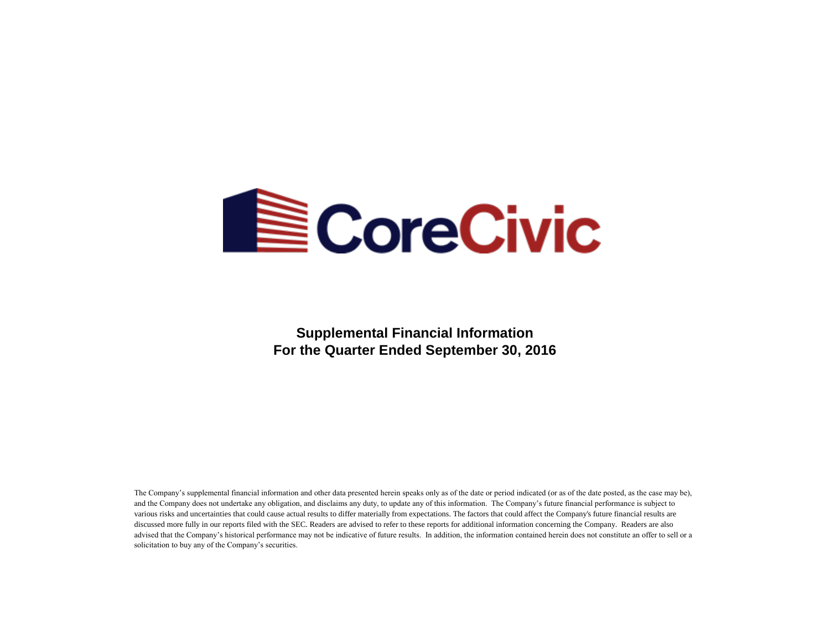

**Supplemental Financial Information For the Quarter Ended September 30, 2016**

The Company's supplemental financial information and other data presented herein speaks only as of the date or period indicated (or as of the date posted, as the case may be), and the Company does not undertake any obligation, and disclaims any duty, to update any of this information. The Company's future financial performance is subject to various risks and uncertainties that could cause actual results to differ materially from expectations. The factors that could affect the Company's future financial results are discussed more fully in our reports filed with the SEC. Readers are advised to refer to these reports for additional information concerning the Company. Readers are also advised that the Company's historical performance may not be indicative of future results. In addition, the information contained herein does not constitute an offer to sell or a solicitation to buy any of the Company's securities.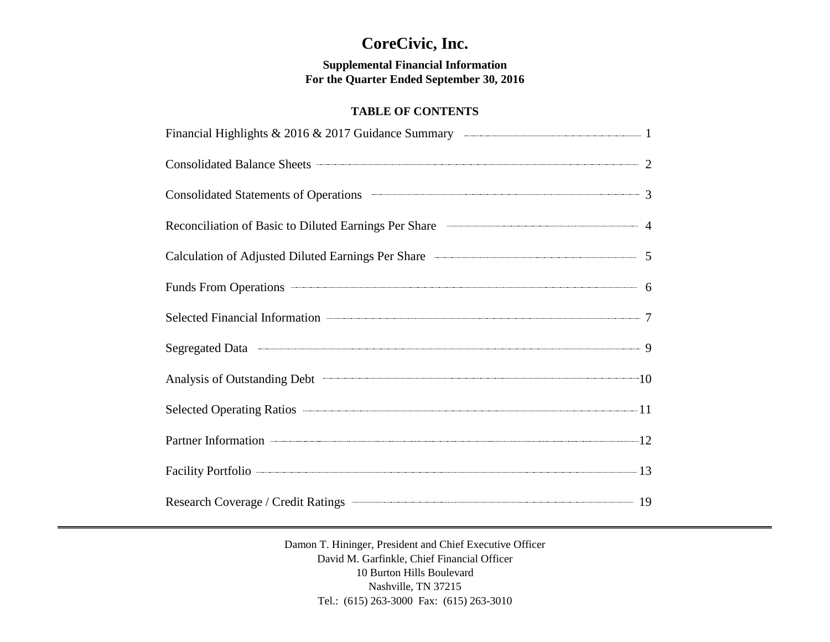# **CoreCivic, Inc.**

# **Supplemental Financial Information For the Quarter Ended September 30, 2016**

# **TABLE OF CONTENTS**

| Financial Highlights & 2016 & 2017 Guidance Summary <b>Constanting Constanting Constanting Constanting Constanting Constanting Constanting Constanting Constanting Constanting Constanting Constanting Constanting Constanting C</b> |  |
|--------------------------------------------------------------------------------------------------------------------------------------------------------------------------------------------------------------------------------------|--|
| Consolidated Balance Sheets 2                                                                                                                                                                                                        |  |
| Consolidated Statements of Operations <b>Consolidated Statements</b> of Operations 3                                                                                                                                                 |  |
| Reconciliation of Basic to Diluted Earnings Per Share <b>Conserverse Conserverse Authority</b> 4                                                                                                                                     |  |
| Calculation of Adjusted Diluted Earnings Per Share ————————————————————————5                                                                                                                                                         |  |
| Funds From Operations 6                                                                                                                                                                                                              |  |
|                                                                                                                                                                                                                                      |  |
|                                                                                                                                                                                                                                      |  |
| Analysis of Outstanding Debt 10                                                                                                                                                                                                      |  |
| Selected Operating Ratios 2014 11                                                                                                                                                                                                    |  |
| Partner Information 12                                                                                                                                                                                                               |  |
| Facility Portfolio 23                                                                                                                                                                                                                |  |
|                                                                                                                                                                                                                                      |  |

Damon T. Hininger, President and Chief Executive Officer David M. Garfinkle, Chief Financial Officer 10 Burton Hills Boulevard Nashville, TN 37215 Tel.: (615) 263-3000 Fax: (615) 263-3010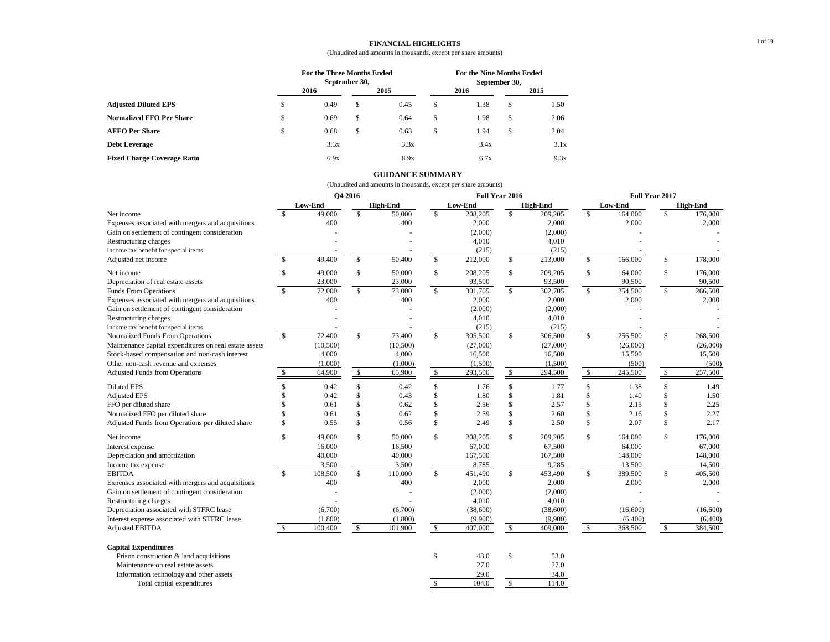#### **FINANCIAL HIGHLIGHTS**

### (Unaudited and amounts in thousands, except per share amounts)

|                                    |    | For the Three Months Ended |               | <b>For the Nine Months Ended</b> |               |      |    |      |
|------------------------------------|----|----------------------------|---------------|----------------------------------|---------------|------|----|------|
|                                    |    |                            | September 30, |                                  | September 30, |      |    |      |
|                                    |    | 2016                       |               | 2015                             |               | 2016 |    | 2015 |
| <b>Adjusted Diluted EPS</b>        | чB | 0.49                       | S             | 0.45                             | S             | 1.38 | S  | 1.50 |
| <b>Normalized FFO Per Share</b>    | \$ | 0.69                       | \$            | 0.64                             | \$            | 1.98 | \$ | 2.06 |
| <b>AFFO Per Share</b>              | S  | 0.68                       | \$            | 0.63                             | S             | 1.94 | \$ | 2.04 |
| <b>Debt Leverage</b>               |    | 3.3x                       |               | 3.3x                             |               | 3.4x |    | 3.1x |
| <b>Fixed Charge Coverage Ratio</b> |    | 6.9x                       |               | 8.9x                             |               | 6.7x |    | 9.3x |

#### **GUIDANCE SUMMARY**

|                                                                                                                                                        |                         |          | O4 2016                 |                 |                    |                      | Full Year 2016 |                      | Full Year 2017          |                |                         |                 |
|--------------------------------------------------------------------------------------------------------------------------------------------------------|-------------------------|----------|-------------------------|-----------------|--------------------|----------------------|----------------|----------------------|-------------------------|----------------|-------------------------|-----------------|
|                                                                                                                                                        |                         | Low-End  |                         | <b>High-End</b> |                    | Low-End              |                | <b>High-End</b>      |                         | <b>Low-End</b> |                         | <b>High-End</b> |
| Net income                                                                                                                                             | $\mathcal{S}$           | 49,000   | \$                      | 50,000          | \$                 | 208,205              | \$             | 209,205              | \$                      | 164,000        | $\mathbb{S}$            | 176,000         |
| Expenses associated with mergers and acquisitions                                                                                                      |                         | 400      |                         | 400             |                    | 2,000                |                | 2,000                |                         | 2,000          |                         | 2,000           |
| Gain on settlement of contingent consideration                                                                                                         |                         |          |                         |                 |                    | (2,000)              |                | (2,000)              |                         |                |                         |                 |
| Restructuring charges                                                                                                                                  |                         |          |                         |                 |                    | 4,010                |                | 4,010                |                         |                |                         |                 |
| Income tax benefit for special items                                                                                                                   |                         |          |                         |                 |                    | (215)                |                | (215)                |                         |                |                         |                 |
| Adjusted net income                                                                                                                                    | $\mathbf{\$}$           | 49,400   | \$                      | 50,400          | \$                 | 212,000              | $\mathbb{S}$   | 213,000              | $\mathbf S$             | 166,000        | $\mathbb{S}$            | 178,000         |
| Net income                                                                                                                                             | \$                      | 49,000   | \$                      | 50,000          | \$                 | 208,205              | $\mathbb{S}$   | 209,205              | \$                      | 164,000        | \$                      | 176,000         |
| Depreciation of real estate assets                                                                                                                     |                         | 23,000   |                         | 23,000          |                    | 93,500               |                | 93,500               |                         | 90,500         |                         | 90,500          |
| <b>Funds From Operations</b>                                                                                                                           | $\mathbf{\hat{S}}$      | 72,000   | $\mathbf S$             | 73,000          | $\mathbb{S}$       | 301,705              | $\mathbb{S}$   | 302,705              | $\mathbf{s}$            | 254,500        | $\mathbb{S}$            | 266,500         |
| Expenses associated with mergers and acquisitions                                                                                                      |                         | 400      |                         | 400             |                    | 2,000                |                | 2,000                |                         | 2,000          |                         | 2,000           |
| Gain on settlement of contingent consideration                                                                                                         |                         |          |                         |                 |                    | (2,000)              |                | (2,000)              |                         |                |                         |                 |
| Restructuring charges                                                                                                                                  |                         |          |                         |                 |                    | 4,010                |                | 4,010                |                         |                |                         |                 |
| Income tax benefit for special items                                                                                                                   |                         |          |                         |                 |                    | (215)                |                | (215)                |                         |                |                         |                 |
| Normalized Funds From Operations                                                                                                                       | $\overline{\mathbf{s}}$ | 72,400   | $\mathbf{\hat{S}}$      | 73,400          | $\mathbb{S}$       | 305,500              | $\mathbb{S}$   | 306,500              | $\mathbf{s}$            | 256,500        | $\mathbb{S}$            | 268,500         |
| Maintenance capital expenditures on real estate assets                                                                                                 |                         | (10,500) |                         | (10,500)        |                    | (27,000)             |                | (27,000)             |                         | (26,000)       |                         | (26,000)        |
| Stock-based compensation and non-cash interest                                                                                                         |                         | 4,000    |                         | 4,000           |                    | 16,500               |                | 16,500               |                         | 15,500         |                         | 15,500          |
| Other non-cash revenue and expenses                                                                                                                    |                         | (1,000)  |                         | (1,000)         |                    | (1,500)              |                | (1,500)              |                         | (500)          |                         | (500)           |
| <b>Adjusted Funds from Operations</b>                                                                                                                  | $\mathbb{S}$            | 64,900   | $\mathbb{S}$            | 65,900          | $\mathbb{S}$       | 293,500              | \$             | 294,500              | \$                      | 245,500        | \$                      | 257,500         |
| <b>Diluted EPS</b>                                                                                                                                     | \$                      | 0.42     | \$                      | 0.42            | \$                 | 1.76                 | \$             | 1.77                 | \$                      | 1.38           | \$                      | 1.49            |
| <b>Adjusted EPS</b>                                                                                                                                    | \$                      | 0.42     | \$                      | 0.43            | \$                 | 1.80                 | \$             | 1.81                 | \$                      | 1.40           | \$                      | 1.50            |
| FFO per diluted share                                                                                                                                  | \$                      | 0.61     | \$                      | 0.62            | \$                 | 2.56                 | \$             | 2.57                 | \$                      | 2.15           | \$                      | 2.25            |
| Normalized FFO per diluted share                                                                                                                       | \$                      | 0.61     | \$                      | 0.62            | \$                 | 2.59                 | \$             | 2.60                 | \$                      | 2.16           | \$                      | 2.27            |
| Adjusted Funds from Operations per diluted share                                                                                                       | \$                      | 0.55     | \$                      | 0.56            | $\mathbf{\hat{S}}$ | 2.49                 | \$             | 2.50                 | \$                      | 2.07           | \$                      | 2.17            |
| Net income                                                                                                                                             | \$                      | 49.000   | \$                      | 50,000          | $\mathbb{S}$       | 208,205              | $\mathbb{S}$   | 209,205              | \$                      | 164,000        | $\mathbb{S}$            | 176,000         |
| Interest expense                                                                                                                                       |                         | 16,000   |                         | 16,500          |                    | 67,000               |                | 67,500               |                         | 64,000         |                         | 67,000          |
| Depreciation and amortization                                                                                                                          |                         | 40,000   |                         | 40,000          |                    | 167,500              |                | 167,500              |                         | 148,000        |                         | 148,000         |
| Income tax expense                                                                                                                                     |                         | 3,500    |                         | 3,500           |                    | 8,785                |                | 9,285                |                         | 13,500         |                         | 14,500          |
| <b>EBITDA</b>                                                                                                                                          | $\mathbf{s}$            | 108,500  | $\overline{\mathbf{s}}$ | 110,000         | $\mathcal{S}$      | 451,490              | $\mathcal{S}$  | 453,490              | $\overline{\mathbf{s}}$ | 389,500        | $\overline{\mathbf{s}}$ | 405,500         |
| Expenses associated with mergers and acquisitions                                                                                                      |                         | 400      |                         | 400             |                    | 2,000                |                | 2,000                |                         | 2,000          |                         | 2,000           |
| Gain on settlement of contingent consideration                                                                                                         |                         |          |                         |                 |                    | (2,000)              |                | (2,000)              |                         |                |                         |                 |
| Restructuring charges                                                                                                                                  |                         |          |                         |                 |                    | 4,010                |                | 4,010                |                         |                |                         |                 |
| Depreciation associated with STFRC lease                                                                                                               |                         | (6,700)  |                         | (6,700)         |                    | (38,600)             |                | (38,600)             |                         | (16,600)       |                         | (16,600)        |
| Interest expense associated with STFRC lease                                                                                                           |                         | (1,800)  |                         | (1,800)         |                    | (9,900)              |                | (9,900)              |                         | (6,400)        |                         | (6,400)         |
| Adjusted EBITDA                                                                                                                                        | \$                      | 100,400  | $\mathbb{S}$            | 101,900         | $\mathbb{S}$       | 407,000              | \$             | 409,000              | $\mathbb{S}$            | 368,500        | \$                      | 384,500         |
| <b>Capital Expenditures</b><br>Prison construction & land acquisitions<br>Maintenance on real estate assets<br>Information technology and other assets |                         |          |                         |                 | \$                 | 48.0<br>27.0<br>29.0 | \$             | 53.0<br>27.0<br>34.0 |                         |                |                         |                 |
| Total capital expenditures                                                                                                                             |                         |          |                         |                 | \$                 | 104.0                | \$             | 114.0                |                         |                |                         |                 |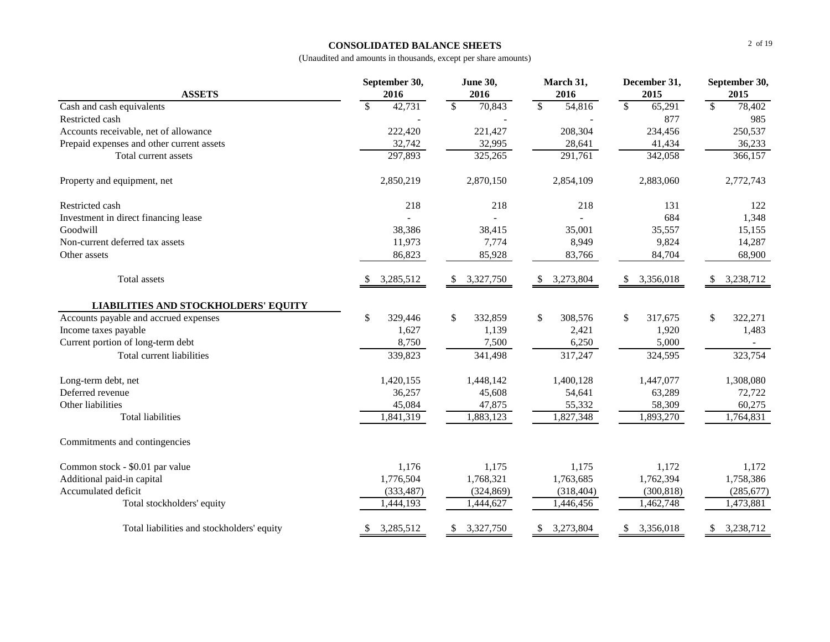# **CONSOLIDATED BALANCE SHEETS**

|                                             | September 30,           | <b>June 30,</b> | March 31,               | December 31,           | September 30,          |
|---------------------------------------------|-------------------------|-----------------|-------------------------|------------------------|------------------------|
| <b>ASSETS</b>                               | 2016                    | 2016            | 2016                    | 2015                   | 2015                   |
| Cash and cash equivalents                   | 42,731<br>\$            | \$<br>70,843    | $\mathbb{S}$<br>54,816  | $\mathbb{S}$<br>65,291 | $\mathbb{S}$<br>78,402 |
| Restricted cash                             |                         |                 |                         | 877                    | 985                    |
| Accounts receivable, net of allowance       | 222,420                 | 221,427         | 208,304                 | 234,456                | 250,537                |
| Prepaid expenses and other current assets   | 32,742                  | 32,995          | 28,641                  | 41,434                 | 36,233                 |
| Total current assets                        | 297,893                 | 325,265         | 291,761                 | 342,058                | 366,157                |
| Property and equipment, net                 | 2,850,219               | 2,870,150       | 2,854,109               | 2,883,060              | 2,772,743              |
| Restricted cash                             | 218                     | 218             | 218                     | 131                    | 122                    |
| Investment in direct financing lease        |                         |                 |                         | 684                    | 1,348                  |
| Goodwill                                    | 38,386                  | 38,415          | 35,001                  | 35,557                 | 15,155                 |
| Non-current deferred tax assets             | 11,973                  | 7,774           | 8,949                   | 9,824                  | 14,287                 |
| Other assets                                | 86,823                  | 85,928          | 83,766                  | 84,704                 | 68,900                 |
| Total assets                                | 3,285,512               | 3,327,750<br>\$ | 3,273,804<br>S.         | 3,356,018<br>-S        | 3,238,712<br>S         |
| <b>LIABILITIES AND STOCKHOLDERS' EQUITY</b> |                         |                 |                         |                        |                        |
| Accounts payable and accrued expenses       | $\mathbb{S}$<br>329,446 | \$<br>332,859   | $\mathbb{S}$<br>308,576 | \$<br>317,675          | \$<br>322,271          |
| Income taxes payable                        | 1,627                   | 1,139           | 2,421                   | 1,920                  | 1,483                  |
| Current portion of long-term debt           | 8,750                   | 7,500           | 6,250                   | 5,000                  |                        |
| Total current liabilities                   | 339,823                 | 341,498         | 317,247                 | 324,595                | 323,754                |
| Long-term debt, net                         | 1,420,155               | 1,448,142       | 1,400,128               | 1,447,077              | 1,308,080              |
| Deferred revenue                            | 36,257                  | 45,608          | 54,641                  | 63,289                 | 72,722                 |
| Other liabilities                           | 45,084                  | 47,875          | 55,332                  | 58,309                 | 60,275                 |
| <b>Total liabilities</b>                    | 1,841,319               | 1,883,123       | 1,827,348               | 1,893,270              | 1,764,831              |
| Commitments and contingencies               |                         |                 |                         |                        |                        |
| Common stock - \$0.01 par value             | 1,176                   | 1,175           | 1,175                   | 1,172                  | 1,172                  |
| Additional paid-in capital                  | 1,776,504               | 1,768,321       | 1,763,685               | 1,762,394              | 1,758,386              |
| Accumulated deficit                         | (333, 487)              | (324, 869)      | (318, 404)              | (300, 818)             | (285, 677)             |
| Total stockholders' equity                  | 1,444,193               | 1,444,627       | 1,446,456               | 1,462,748              | 1,473,881              |
| Total liabilities and stockholders' equity  | 3,285,512<br>\$         | 3,327,750<br>\$ | 3,273,804<br>\$         | 3,356,018<br>\$        | 3,238,712<br>\$        |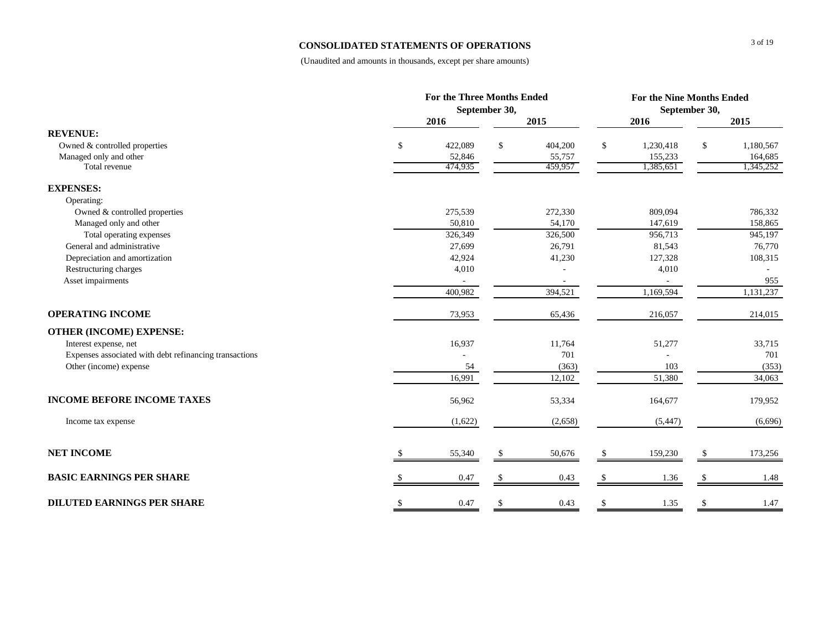# **CONSOLIDATED STATEMENTS OF OPERATIONS**

|                                                        | <b>For the Three Months Ended</b> |               |         |    |           | For the Nine Months Ended |           |  |  |  |
|--------------------------------------------------------|-----------------------------------|---------------|---------|----|-----------|---------------------------|-----------|--|--|--|
|                                                        |                                   | September 30, |         |    |           | September 30,             |           |  |  |  |
|                                                        | 2016                              |               | 2015    |    | 2016      |                           | 2015      |  |  |  |
| <b>REVENUE:</b>                                        |                                   |               |         |    |           |                           |           |  |  |  |
| Owned & controlled properties                          | \$<br>422,089                     | \$            | 404,200 | \$ | 1,230,418 | \$                        | 1,180,567 |  |  |  |
| Managed only and other                                 | 52,846                            |               | 55,757  |    | 155,233   |                           | 164,685   |  |  |  |
| Total revenue                                          | 474,935                           |               | 459,957 |    | 1,385,651 |                           | 1,345,252 |  |  |  |
| <b>EXPENSES:</b>                                       |                                   |               |         |    |           |                           |           |  |  |  |
| Operating:                                             |                                   |               |         |    |           |                           |           |  |  |  |
| Owned & controlled properties                          | 275,539                           |               | 272,330 |    | 809,094   |                           | 786,332   |  |  |  |
| Managed only and other                                 | 50,810                            |               | 54,170  |    | 147,619   |                           | 158,865   |  |  |  |
| Total operating expenses                               | 326,349                           |               | 326,500 |    | 956,713   |                           | 945,197   |  |  |  |
| General and administrative                             | 27,699                            |               | 26,791  |    | 81,543    |                           | 76,770    |  |  |  |
| Depreciation and amortization                          | 42,924                            |               | 41,230  |    | 127,328   |                           | 108,315   |  |  |  |
| Restructuring charges                                  | 4,010                             |               |         |    | 4,010     |                           |           |  |  |  |
| Asset impairments                                      |                                   |               |         |    |           |                           | 955       |  |  |  |
|                                                        | 400,982                           |               | 394,521 |    | 1,169,594 |                           | 1,131,237 |  |  |  |
| <b>OPERATING INCOME</b>                                | 73,953                            |               | 65,436  |    | 216,057   |                           | 214,015   |  |  |  |
| <b>OTHER (INCOME) EXPENSE:</b>                         |                                   |               |         |    |           |                           |           |  |  |  |
| Interest expense, net                                  | 16,937                            |               | 11,764  |    | 51,277    |                           | 33,715    |  |  |  |
| Expenses associated with debt refinancing transactions |                                   |               | 701     |    |           |                           | 701       |  |  |  |
| Other (income) expense                                 | 54                                |               | (363)   |    | 103       |                           | (353)     |  |  |  |
|                                                        | 16,991                            |               | 12,102  |    | 51,380    |                           | 34,063    |  |  |  |
| <b>INCOME BEFORE INCOME TAXES</b>                      | 56,962                            |               | 53,334  |    | 164,677   |                           | 179,952   |  |  |  |
| Income tax expense                                     | (1,622)                           |               | (2,658) |    | (5, 447)  |                           | (6,696)   |  |  |  |
| <b>NET INCOME</b>                                      | 55,340                            |               | 50,676  |    | 159,230   |                           | 173,256   |  |  |  |
|                                                        |                                   |               |         |    |           |                           |           |  |  |  |
| <b>BASIC EARNINGS PER SHARE</b>                        | 0.47                              | S             | 0.43    |    | 1.36      |                           | 1.48      |  |  |  |
| <b>DILUTED EARNINGS PER SHARE</b>                      | \$<br>0.47                        | \$            | 0.43    | \$ | 1.35      | \$                        | 1.47      |  |  |  |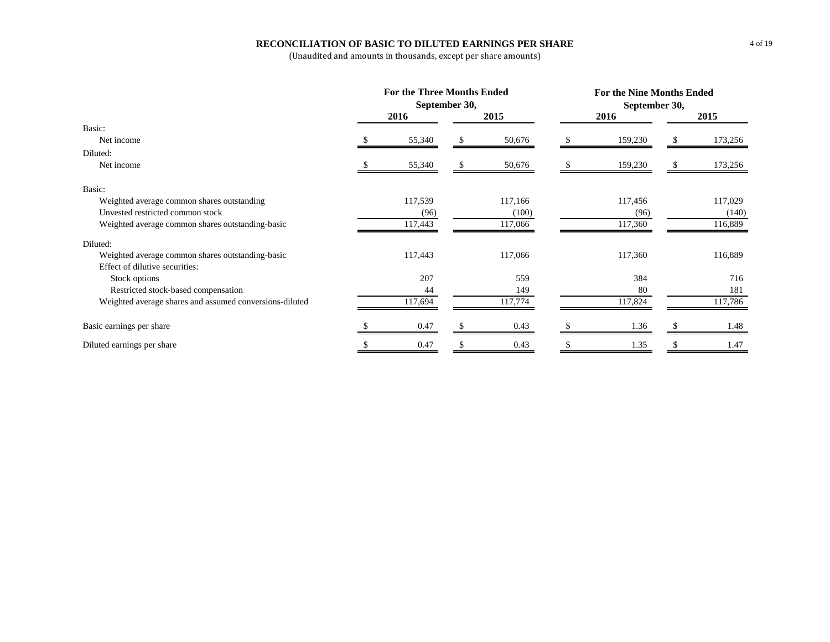# **RECONCILIATION OF BASIC TO DILUTED EARNINGS PER SHARE**

|                                                         | <b>For the Three Months Ended</b><br>September 30, |         | <b>For the Nine Months Ended</b><br>September 30, |         |      |         |  |
|---------------------------------------------------------|----------------------------------------------------|---------|---------------------------------------------------|---------|------|---------|--|
|                                                         | 2016                                               | 2015    |                                                   | 2016    | 2015 |         |  |
| Basic:                                                  |                                                    |         |                                                   |         |      |         |  |
| Net income                                              | 55,340                                             | 50,676  |                                                   | 159,230 |      | 173,256 |  |
| Diluted:                                                |                                                    |         |                                                   |         |      |         |  |
| Net income                                              | 55,340                                             | 50,676  |                                                   | 159,230 |      | 173,256 |  |
| Basic:                                                  |                                                    |         |                                                   |         |      |         |  |
| Weighted average common shares outstanding              | 117,539                                            | 117,166 |                                                   | 117,456 |      | 117,029 |  |
| Unvested restricted common stock                        | (96)                                               | (100)   |                                                   | (96)    |      | (140)   |  |
| Weighted average common shares outstanding-basic        | 117,443                                            | 117,066 |                                                   | 117,360 |      | 116,889 |  |
| Diluted:                                                |                                                    |         |                                                   |         |      |         |  |
| Weighted average common shares outstanding-basic        | 117,443                                            | 117,066 |                                                   | 117,360 |      | 116,889 |  |
| Effect of dilutive securities:                          |                                                    |         |                                                   |         |      |         |  |
| Stock options                                           | 207                                                | 559     |                                                   | 384     |      | 716     |  |
| Restricted stock-based compensation                     | 44                                                 | 149     |                                                   | 80      |      | 181     |  |
| Weighted average shares and assumed conversions-diluted | 117,694                                            | 117,774 |                                                   | 117,824 |      | 117,786 |  |
| Basic earnings per share                                | 0.47                                               | 0.43    |                                                   | 1.36    |      | 1.48    |  |
| Diluted earnings per share                              | 0.47                                               | 0.43    |                                                   | 1.35    |      | 1.47    |  |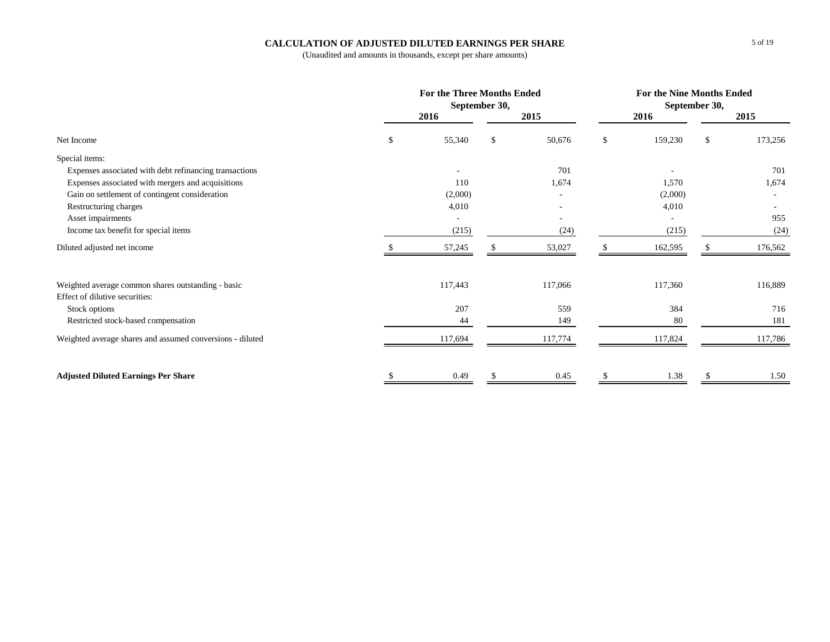# **CALCULATION OF ADJUSTED DILUTED EARNINGS PER SHARE**

|                                                           | <b>For the Three Months Ended</b><br>September 30, |         |    |         |    | For the Nine Months Ended<br>September 30, |               |         |  |
|-----------------------------------------------------------|----------------------------------------------------|---------|----|---------|----|--------------------------------------------|---------------|---------|--|
|                                                           |                                                    | 2016    |    | 2015    |    | 2016                                       |               | 2015    |  |
| Net Income                                                | <sup>\$</sup>                                      | 55,340  | \$ | 50,676  | \$ | 159,230                                    | <sup>\$</sup> | 173,256 |  |
| Special items:                                            |                                                    |         |    |         |    |                                            |               |         |  |
| Expenses associated with debt refinancing transactions    |                                                    |         |    | 701     |    |                                            |               | 701     |  |
| Expenses associated with mergers and acquisitions         |                                                    | 110     |    | 1,674   |    | 1,570                                      |               | 1,674   |  |
| Gain on settlement of contingent consideration            |                                                    | (2,000) |    |         |    | (2,000)                                    |               |         |  |
| Restructuring charges                                     |                                                    | 4,010   |    |         |    | 4,010                                      |               |         |  |
| Asset impairments                                         |                                                    |         |    |         |    |                                            |               | 955     |  |
| Income tax benefit for special items                      |                                                    | (215)   |    | (24)    |    | (215)                                      |               | (24)    |  |
| Diluted adjusted net income                               |                                                    | 57,245  |    | 53,027  | S  | 162,595                                    |               | 176,562 |  |
| Weighted average common shares outstanding - basic        |                                                    | 117,443 |    | 117,066 |    | 117,360                                    |               | 116,889 |  |
| Effect of dilutive securities:                            |                                                    |         |    |         |    |                                            |               |         |  |
| Stock options                                             |                                                    | 207     |    | 559     |    | 384                                        |               | 716     |  |
| Restricted stock-based compensation                       |                                                    | 44      |    | 149     |    | 80                                         |               | 181     |  |
| Weighted average shares and assumed conversions - diluted |                                                    | 117,694 |    | 117,774 |    | 117,824                                    |               | 117,786 |  |
| <b>Adjusted Diluted Earnings Per Share</b>                |                                                    | 0.49    |    | 0.45    |    | 1.38                                       |               | 1.50    |  |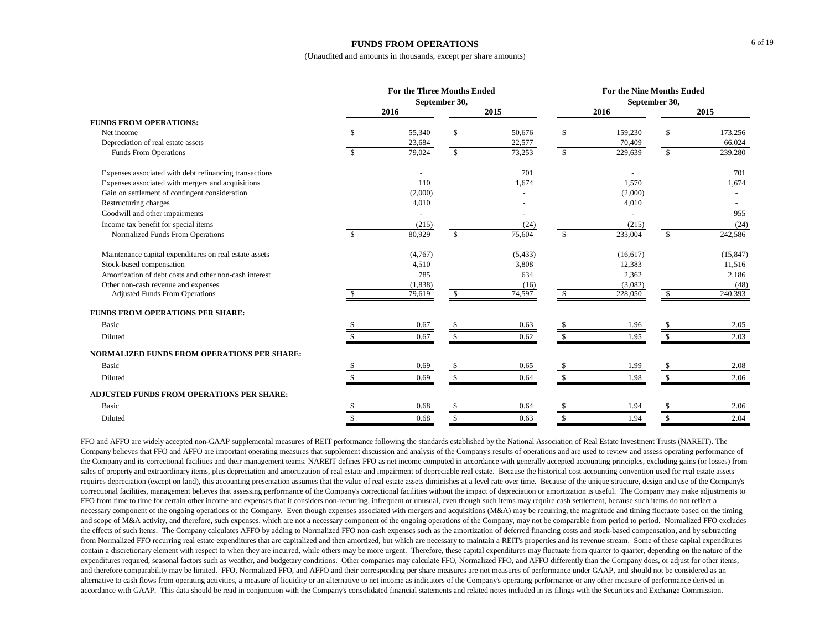#### **FUNDS FROM OPERATIONS**

(Unaudited and amounts in thousands, except per share amounts)

|                                                        |               | <b>For the Three Months Ended</b><br>September 30, |               | <b>For the Nine Months Ended</b><br>September 30, |               |           |                    |           |
|--------------------------------------------------------|---------------|----------------------------------------------------|---------------|---------------------------------------------------|---------------|-----------|--------------------|-----------|
|                                                        |               | 2016                                               |               | 2015                                              |               | 2016      |                    | 2015      |
| <b>FUNDS FROM OPERATIONS:</b>                          |               |                                                    |               |                                                   |               |           |                    |           |
| Net income                                             | \$            | 55,340                                             | <sup>\$</sup> | 50,676                                            | $\mathbf S$   | 159,230   | \$                 | 173,256   |
| Depreciation of real estate assets                     |               | 23,684                                             |               | 22,577                                            |               | 70,409    |                    | 66,024    |
| <b>Funds From Operations</b>                           | Ŝ.            | 79,024                                             | $\mathbb{S}$  | 73,253                                            | $\mathbb{S}$  | 229,639   | $\mathbf{\hat{S}}$ | 239,280   |
| Expenses associated with debt refinancing transactions |               |                                                    |               | 701                                               |               |           |                    | 701       |
| Expenses associated with mergers and acquisitions      |               | 110                                                |               | 1,674                                             |               | 1,570     |                    | 1,674     |
| Gain on settlement of contingent consideration         |               | (2,000)                                            |               |                                                   |               | (2,000)   |                    |           |
| Restructuring charges                                  |               | 4,010                                              |               |                                                   |               | 4,010     |                    |           |
| Goodwill and other impairments                         |               |                                                    |               |                                                   |               |           |                    | 955       |
| Income tax benefit for special items                   |               | (215)                                              |               | (24)                                              |               | (215)     |                    | (24)      |
| Normalized Funds From Operations                       | $\mathcal{S}$ | 80,929                                             | $\mathbf{s}$  | 75,604                                            | $\mathbf{\$}$ | 233,004   | \$                 | 242,586   |
| Maintenance capital expenditures on real estate assets |               | (4,767)                                            |               | (5, 433)                                          |               | (16, 617) |                    | (15, 847) |
| Stock-based compensation                               |               | 4,510                                              |               | 3,808                                             |               | 12,383    |                    | 11,516    |
| Amortization of debt costs and other non-cash interest |               | 785                                                |               | 634                                               |               | 2,362     |                    | 2,186     |
| Other non-cash revenue and expenses                    |               | (1, 838)                                           |               | (16)                                              |               | (3,082)   |                    | (48)      |
| <b>Adjusted Funds From Operations</b>                  |               | 79,619                                             |               | 74,597                                            | -S            | 228,050   |                    | 240,393   |
| <b>FUNDS FROM OPERATIONS PER SHARE:</b>                |               |                                                    |               |                                                   |               |           |                    |           |
| Basic                                                  |               | 0.67                                               |               | 0.63                                              |               | 1.96      |                    | 2.05      |
| Diluted                                                |               | 0.67                                               |               | 0.62                                              |               | 1.95      | -S                 | 2.03      |
| <b>NORMALIZED FUNDS FROM OPERATIONS PER SHARE:</b>     |               |                                                    |               |                                                   |               |           |                    |           |
| Basic                                                  |               | 0.69                                               |               | 0.65                                              |               | 1.99      |                    | 2.08      |
| Diluted                                                |               | 0.69                                               | \$            | 0.64                                              | S.            | 1.98      | S.                 | 2.06      |
| ADJUSTED FUNDS FROM OPERATIONS PER SHARE:              |               |                                                    |               |                                                   |               |           |                    |           |
| Basic                                                  |               | 0.68                                               |               | 0.64                                              |               | 1.94      |                    | 2.06      |
| Diluted                                                |               | 0.68                                               |               | 0.63                                              |               | 1.94      | \$                 | 2.04      |

FFO and AFFO are widely accepted non-GAAP supplemental measures of REIT performance following the standards established by the National Association of Real Estate Investment Trusts (NAREIT). The Company believes that FFO and AFFO are important operating measures that supplement discussion and analysis of the Company's results of operations and are used to review and assess operating performance of the Company and its correctional facilities and their management teams. NAREIT defines FFO as net income computed in accordance with generally accepted accounting principles, excluding gains (or losses) from sales of property and extraordinary items, plus depreciation and amortization of real estate and impairment of depreciable real estate. Because the historical cost accounting convention used for real estate assets requires depreciation (except on land), this accounting presentation assumes that the value of real estate assets diminishes at a level rate over time. Because of the unique structure, design and use of the Company's correctional facilities, management believes that assessing performance of the Company's correctional facilities without the impact of depreciation or amortization is useful. The Company may make adjustments to FFO from time to time for certain other income and expenses that it considers non-recurring, infrequent or unusual, even though such items may require cash settlement, because such items do not reflect a necessary component of the ongoing operations of the Company. Even though expenses associated with mergers and acquisitions (M&A) may be recurring, the magnitude and timing fluctuate based on the timing and scope of M&A activity, and therefore, such expenses, which are not a necessary component of the ongoing operations of the Company, may not be comparable from period to period. Normalized FFO excludes the effects of such items. The Company calculates AFFO by adding to Normalized FFO non-cash expenses such as the amortization of deferred financing costs and stock-based compensation, and by subtracting from Normalized FFO recurring real estate expenditures that are capitalized and then amortized, but which are necessary to maintain a REIT's properties and its revenue stream. Some of these capital expenditures contain a discretionary element with respect to when they are incurred, while others may be more urgent. Therefore, these capital expenditures may fluctuate from quarter to quarter, depending on the nature of the expenditures required, seasonal factors such as weather, and budgetary conditions. Other companies may calculate FFO, Normalized FFO, and AFFO differently than the Company does, or adjust for other items, and therefore comparability may be limited. FFO, Normalized FFO, and AFFO and their corresponding per share measures are not measures of performance under GAAP, and should not be considered as an alternative to cash flows from operating activities, a measure of liquidity or an alternative to net income as indicators of the Company's operating performance or any other measure of performance derived in accordance with GAAP. This data should be read in conjunction with the Company's consolidated financial statements and related notes included in its filings with the Securities and Exchange Commission.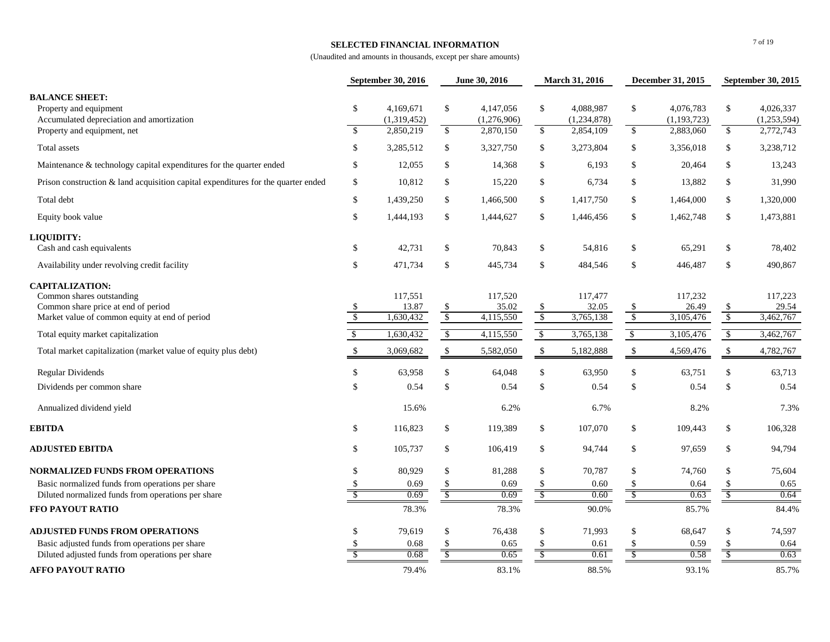## **SELECTED FINANCIAL INFORMATION**

|                                                                                                                                              | September 30, 2016 |                               | June 30, 2016                             |                               | March 31, 2016          |                               | December 31, 2015 |                               | September 30, 2015      |                               |
|----------------------------------------------------------------------------------------------------------------------------------------------|--------------------|-------------------------------|-------------------------------------------|-------------------------------|-------------------------|-------------------------------|-------------------|-------------------------------|-------------------------|-------------------------------|
| <b>BALANCE SHEET:</b><br>Property and equipment<br>Accumulated depreciation and amortization                                                 | $\mathbb{S}$       | 4,169,671<br>(1,319,452)      | $\mathbb{S}$                              | 4,147,056<br>(1,276,906)      | \$                      | 4,088,987<br>(1,234,878)      | \$                | 4,076,783<br>(1, 193, 723)    | \$                      | 4,026,337<br>(1,253,594)      |
| Property and equipment, net                                                                                                                  | $\mathbf{\hat{S}}$ | 2,850,219                     | \$                                        | 2,870,150                     | $\mathbb{S}$            | 2,854,109                     | $\mathcal{S}$     | 2,883,060                     | $\mathsf{\$}$           | 2,772,743                     |
| Total assets                                                                                                                                 | $\mathbb{S}$       | 3,285,512                     | \$                                        | 3,327,750                     | \$                      | 3,273,804                     | \$                | 3,356,018                     | $\mathbb{S}$            | 3,238,712                     |
| Maintenance & technology capital expenditures for the quarter ended                                                                          | \$                 | 12,055                        | \$                                        | 14,368                        | \$                      | 6,193                         | \$                | 20,464                        | $\mathbb{S}$            | 13,243                        |
| Prison construction $\&$ land acquisition capital expenditures for the quarter ended                                                         | $\mathbb{S}$       | 10,812                        | \$                                        | 15,220                        | \$                      | 6,734                         | \$                | 13,882                        | \$                      | 31,990                        |
| Total debt                                                                                                                                   | $\mathbb{S}$       | 1,439,250                     | \$                                        | 1,466,500                     | \$                      | 1,417,750                     | \$                | 1,464,000                     | $\mathbb{S}$            | 1,320,000                     |
| Equity book value                                                                                                                            | $\mathbb{S}$       | 1,444,193                     | \$                                        | 1,444,627                     | \$                      | 1,446,456                     | \$                | 1,462,748                     | $\mathbb{S}$            | 1,473,881                     |
| LIQUIDITY:                                                                                                                                   |                    |                               |                                           |                               |                         |                               |                   |                               |                         |                               |
| Cash and cash equivalents                                                                                                                    | \$                 | 42,731                        | \$                                        | 70,843                        | \$                      | 54,816                        | \$                | 65,291                        | \$                      | 78,402                        |
| Availability under revolving credit facility                                                                                                 | $\mathbb{S}$       | 471,734                       | \$                                        | 445,734                       | \$                      | 484,546                       | \$                | 446,487                       | $\mathbb{S}$            | 490,867                       |
| <b>CAPITALIZATION:</b><br>Common shares outstanding<br>Common share price at end of period<br>Market value of common equity at end of period | \$<br>$\sqrt{2}$   | 117,551<br>13.87<br>1,630,432 | $\mathcal{S}$<br>$\sqrt$                  | 117,520<br>35.02<br>4,115,550 | \$<br>$\sqrt$           | 117,477<br>32.05<br>3,765,138 | \$<br>$\sqrt{3}$  | 117,232<br>26.49<br>3,105,476 | \$<br>$\overline{\$}$   | 117,223<br>29.54<br>3,462,767 |
| Total equity market capitalization                                                                                                           | $\sqrt{2}$         | 1,630,432                     | $\sqrt[6]{\frac{1}{2}}$                   | 4,115,550                     | $\sqrt[6]{\frac{1}{2}}$ | 3,765,138                     | $\sqrt{2}$        | 3,105,476                     | $\sqrt[6]{\frac{1}{2}}$ | 3,462,767                     |
| Total market capitalization (market value of equity plus debt)                                                                               | $\mathbb{S}$       | 3,069,682                     | \$                                        | 5,582,050                     | $\mathbb{S}$            | 5,182,888                     | $\mathcal{S}$     | 4,569,476                     | $\mathbb{S}$            | 4,782,767                     |
| <b>Regular Dividends</b>                                                                                                                     | $\mathbb{S}$       | 63,958                        | \$                                        | 64,048                        | \$                      | 63,950                        | \$                | 63.751                        | $\mathbb{S}$            | 63,713                        |
| Dividends per common share                                                                                                                   | \$                 | 0.54                          | $\mathcal{S}$                             | 0.54                          | \$                      | 0.54                          | \$                | 0.54                          | $\$$                    | 0.54                          |
| Annualized dividend yield                                                                                                                    |                    | 15.6%                         |                                           | 6.2%                          |                         | 6.7%                          |                   | 8.2%                          |                         | 7.3%                          |
| <b>EBITDA</b>                                                                                                                                | $\mathbb{S}$       | 116,823                       | \$                                        | 119,389                       | \$                      | 107,070                       | \$                | 109,443                       | \$                      | 106,328                       |
| <b>ADJUSTED EBITDA</b>                                                                                                                       | \$                 | 105,737                       | \$                                        | 106,419                       | \$                      | 94,744                        | \$                | 97,659                        | \$                      | 94,794                        |
| NORMALIZED FUNDS FROM OPERATIONS                                                                                                             | $\mathbb{S}$       | 80,929                        | \$                                        | 81,288                        | \$                      | 70,787                        | \$                | 74,760                        | \$                      | 75,604                        |
| Basic normalized funds from operations per share                                                                                             | $\mathbb{S}$       | 0.69                          | \$                                        | 0.69                          | $\mathcal{S}$           | 0.60                          | \$                | 0.64                          | \$                      | 0.65                          |
| Diluted normalized funds from operations per share<br>FFO PAYOUT RATIO                                                                       | $\mathbb{S}$       | 0.69<br>78.3%                 | S,                                        | 0.69<br>78.3%                 | $\mathcal{S}$           | 0.60<br>90.0%                 | $\mathcal{S}$     | 0.63<br>85.7%                 | $\mathcal{S}$           | 0.64<br>84.4%                 |
|                                                                                                                                              |                    |                               |                                           |                               |                         |                               |                   |                               |                         |                               |
| <b>ADJUSTED FUNDS FROM OPERATIONS</b>                                                                                                        | $\mathbf{s}$       | 79,619                        | \$                                        | 76,438                        | \$                      | 71,993                        | \$                | 68,647                        | \$                      | 74,597                        |
| Basic adjusted funds from operations per share                                                                                               | <sup>\$</sup>      | 0.68                          | <sup>\$</sup><br>$\overline{\mathcal{S}}$ | 0.65                          | \$                      | 0.61<br>0.61                  | \$                | 0.59<br>0.58                  | $\mathbf{\hat{S}}$      | 0.64<br>0.63                  |
| Diluted adjusted funds from operations per share                                                                                             |                    | 0.68                          |                                           | 0.65                          |                         |                               |                   |                               |                         |                               |
| <b>AFFO PAYOUT RATIO</b>                                                                                                                     |                    | 79.4%                         |                                           | 83.1%                         |                         | 88.5%                         |                   | 93.1%                         |                         | 85.7%                         |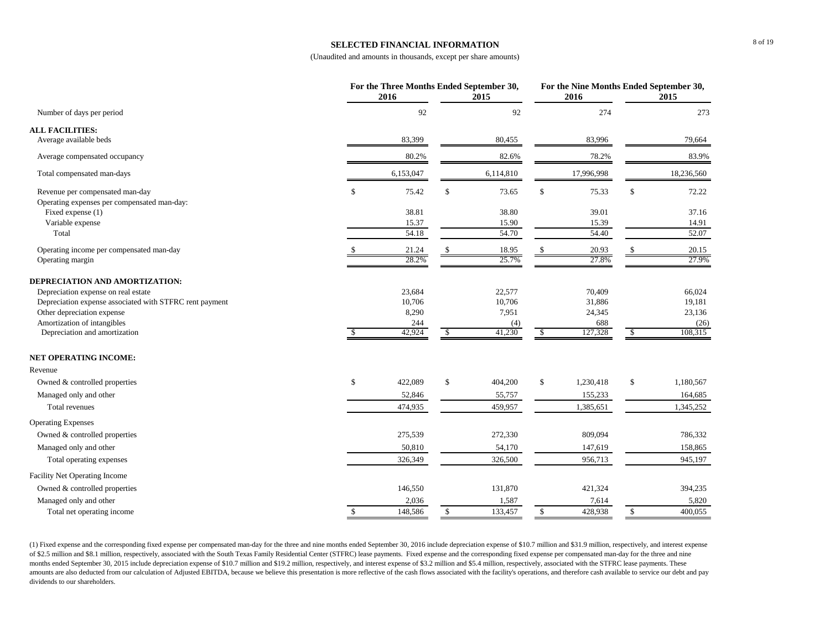### **SELECTED FINANCIAL INFORMATION**

(Unaudited and amounts in thousands, except per share amounts)

|                                                                                |               | For the Three Months Ended September 30,<br>2016 |              | 2015      |              | For the Nine Months Ended September 30,<br>2016 |              | 2015       |
|--------------------------------------------------------------------------------|---------------|--------------------------------------------------|--------------|-----------|--------------|-------------------------------------------------|--------------|------------|
| Number of days per period                                                      |               | 92                                               |              | 92        |              | 274                                             |              | 273        |
| <b>ALL FACILITIES:</b>                                                         |               |                                                  |              |           |              |                                                 |              |            |
| Average available beds                                                         |               | 83,399                                           |              | 80,455    |              | 83,996                                          |              | 79,664     |
| Average compensated occupancy                                                  |               | 80.2%                                            |              | 82.6%     |              | 78.2%                                           |              | 83.9%      |
| Total compensated man-days                                                     |               | 6,153,047                                        |              | 6,114,810 |              | 17,996,998                                      |              | 18,236,560 |
| Revenue per compensated man-day<br>Operating expenses per compensated man-day: | \$            | 75.42                                            | $\$$         | 73.65     | \$           | 75.33                                           | \$           | 72.22      |
| Fixed expense (1)                                                              |               | 38.81                                            |              | 38.80     |              | 39.01                                           |              | 37.16      |
| Variable expense                                                               |               | 15.37                                            |              | 15.90     |              | 15.39                                           |              | 14.91      |
| Total                                                                          |               | 54.18                                            |              | 54.70     |              | 54.40                                           |              | 52.07      |
| Operating income per compensated man-day                                       |               | 21.24                                            | \$.          | 18.95     | \$           | 20.93                                           | $\mathbb{S}$ | 20.15      |
| Operating margin                                                               |               | 28.2%                                            |              | 25.7%     |              | 27.8%                                           |              | 27.9%      |
| DEPRECIATION AND AMORTIZATION:                                                 |               |                                                  |              |           |              |                                                 |              |            |
| Depreciation expense on real estate                                            |               | 23,684                                           |              | 22,577    |              | 70,409                                          |              | 66,024     |
| Depreciation expense associated with STFRC rent payment                        |               | 10,706                                           |              | 10,706    |              | 31,886                                          |              | 19,181     |
| Other depreciation expense                                                     |               | 8,290                                            |              | 7,951     |              | 24,345                                          |              | 23,136     |
| Amortization of intangibles                                                    |               | 244                                              |              | (4)       |              | 688                                             |              | (26)       |
| Depreciation and amortization                                                  | <sup>\$</sup> | 42,924                                           | \$           | 41,230    | \$           | 127,328                                         | \$           | 108,315    |
| <b>NET OPERATING INCOME:</b>                                                   |               |                                                  |              |           |              |                                                 |              |            |
| Revenue                                                                        |               |                                                  |              |           |              |                                                 |              |            |
| Owned & controlled properties                                                  | \$            | 422,089                                          | $\mathbb{S}$ | 404,200   | \$           | 1,230,418                                       | \$           | 1,180,567  |
| Managed only and other                                                         |               | 52,846                                           |              | 55,757    |              | 155,233                                         |              | 164,685    |
| <b>Total revenues</b>                                                          |               | 474,935                                          |              | 459,957   |              | 1,385,651                                       |              | 1,345,252  |
| <b>Operating Expenses</b>                                                      |               |                                                  |              |           |              |                                                 |              |            |
| Owned & controlled properties                                                  |               | 275,539                                          |              | 272,330   |              | 809,094                                         |              | 786,332    |
| Managed only and other                                                         |               | 50,810                                           |              | 54,170    |              | 147,619                                         |              | 158,865    |
| Total operating expenses                                                       |               | 326,349                                          |              | 326,500   |              | 956,713                                         |              | 945,197    |
| <b>Facility Net Operating Income</b>                                           |               |                                                  |              |           |              |                                                 |              |            |
| Owned & controlled properties                                                  |               | 146,550                                          |              | 131,870   |              | 421,324                                         |              | 394,235    |
| Managed only and other                                                         |               | 2,036                                            |              | 1,587     |              | 7,614                                           |              | 5,820      |
| Total net operating income                                                     | \$            | 148,586                                          | $\mathbb{S}$ | 133,457   | $\mathbb{S}$ | 428,938                                         | $\mathbb{S}$ | 400,055    |

(1) Fixed expense and the corresponding fixed expense per compensated man-day for the three and nine months ended September 30, 2016 include depreciation expense of \$10.7 million and \$31.9 million, respectively, and intere of \$2.5 million and \$8.1 million, respectively, associated with the South Texas Family Residential Center (STFRC) lease payments. Fixed expense and the corresponding fixed expense per compensated man-day for the three and months ended September 30, 2015 include depreciation expense of \$10.7 million and \$19.2 million, respectively, and interest expense of \$3.2 million and \$5.4 million, respectively, associated with the STFRC lease payments. amounts are also deducted from our calculation of Adjusted EBITDA, because we believe this presentation is more reflective of the cash flows associated with the facility's operations, and therefore cash available to servic dividends to our shareholders.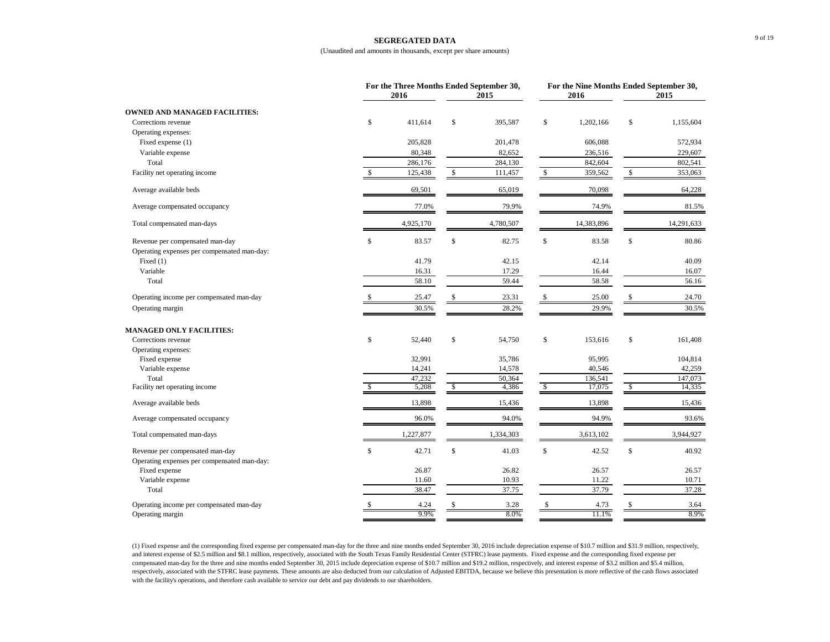#### **SEGREGATED DATA**

#### (Unaudited and amounts in thousands, except per share amounts)

|                                             |    | For the Three Months Ended September 30,<br>2016<br>2015 |    |           |    | 2016       | For the Nine Months Ended September 30,<br>2015 |            |
|---------------------------------------------|----|----------------------------------------------------------|----|-----------|----|------------|-------------------------------------------------|------------|
| <b>OWNED AND MANAGED FACILITIES:</b>        |    |                                                          |    |           |    |            |                                                 |            |
| Corrections revenue                         | \$ | 411.614                                                  | \$ | 395,587   | \$ | 1,202,166  | \$                                              | 1,155,604  |
| Operating expenses:                         |    |                                                          |    |           |    |            |                                                 |            |
| Fixed expense (1)                           |    | 205,828                                                  |    | 201,478   |    | 606,088    |                                                 | 572,934    |
| Variable expense                            |    | 80,348                                                   |    | 82,652    |    | 236,516    |                                                 | 229,607    |
| Total                                       |    | 286,176                                                  |    | 284,130   |    | 842,604    |                                                 | 802,541    |
| Facility net operating income               | \$ | 125,438                                                  | \$ | 111,457   | \$ | 359,562    | \$                                              | 353,063    |
| Average available beds                      |    | 69,501                                                   |    | 65,019    |    | 70,098     |                                                 | 64,228     |
| Average compensated occupancy               |    | 77.0%                                                    |    | 79.9%     |    | 74.9%      |                                                 | 81.5%      |
| Total compensated man-days                  |    | 4,925,170                                                |    | 4,780,507 |    | 14,383,896 |                                                 | 14,291,633 |
| Revenue per compensated man-day             | \$ | 83.57                                                    | \$ | 82.75     | \$ | 83.58      | \$                                              | 80.86      |
| Operating expenses per compensated man-day: |    |                                                          |    |           |    |            |                                                 |            |
| Fixed $(1)$                                 |    | 41.79                                                    |    | 42.15     |    | 42.14      |                                                 | 40.09      |
| Variable                                    |    | 16.31                                                    |    | 17.29     |    | 16.44      |                                                 | 16.07      |
| Total                                       |    | 58.10                                                    |    | 59.44     |    | 58.58      |                                                 | 56.16      |
| Operating income per compensated man-day    |    | 25.47                                                    | \$ | 23.31     | \$ | 25.00      | \$                                              | 24.70      |
| Operating margin                            |    | 30.5%                                                    |    | 28.2%     |    | 29.9%      |                                                 | 30.5%      |
| <b>MANAGED ONLY FACILITIES:</b>             |    |                                                          |    |           |    |            |                                                 |            |
| Corrections revenue                         | \$ | 52,440                                                   | \$ | 54,750    | \$ | 153,616    | \$                                              | 161,408    |
| Operating expenses:                         |    |                                                          |    |           |    |            |                                                 |            |
| Fixed expense                               |    | 32,991                                                   |    | 35,786    |    | 95,995     |                                                 | 104,814    |
| Variable expense                            |    | 14,241                                                   |    | 14,578    |    | 40,546     |                                                 | 42,259     |
| Total                                       |    | 47,232                                                   |    | 50,364    |    | 136,541    |                                                 | 147,073    |
| Facility net operating income               | \$ | 5,208                                                    | \$ | 4,386     | -S | 17,075     | \$                                              | 14,335     |
| Average available beds                      |    | 13,898                                                   |    | 15,436    |    | 13,898     |                                                 | 15,436     |
| Average compensated occupancy               |    | 96.0%                                                    |    | 94.0%     |    | 94.9%      |                                                 | 93.6%      |
| Total compensated man-days                  |    | 1,227,877                                                |    | 1,334,303 |    | 3,613,102  |                                                 | 3,944,927  |
| Revenue per compensated man-day             | \$ | 42.71                                                    | \$ | 41.03     | \$ | 42.52      | \$                                              | 40.92      |
| Operating expenses per compensated man-day: |    |                                                          |    |           |    |            |                                                 |            |
| Fixed expense                               |    | 26.87                                                    |    | 26.82     |    | 26.57      |                                                 | 26.57      |
| Variable expense                            |    | 11.60                                                    |    | 10.93     |    | 11.22      |                                                 | 10.71      |
| Total                                       |    | 38.47                                                    |    | 37.75     |    | 37.79      |                                                 | 37.28      |
| Operating income per compensated man-day    | S  | 4.24                                                     |    | 3.28      |    | 4.73       | \$                                              | 3.64       |
| Operating margin                            |    | 9.9%                                                     |    | 8.0%      |    | 11.1%      |                                                 | 8.9%       |

(1) Fixed expense and the corresponding fixed expense per compensated man-day for the three and nine months ended September 30, 2016 include depreciation expense of \$10.7 million and \$31.9 million, respectively, and interest expense of \$2.5 million and \$8.1 million, respectively, associated with the South Texas Family Residential Center (STFRC) lease payments. Fixed expense and the corresponding fixed expense per compensated man-day for the three and nine months ended September 30, 2015 include depreciation expense of \$10.7 million and \$19.2 million, respectively, and interest expense of \$3.2 million and \$5.4 million, respectively, associated with the STFRC lease payments. These amounts are also deducted from our calculation of Adjusted EBITDA, because we believe this presentation is more reflective of the cash flows associated with the facility's operations, and therefore cash available to service our debt and pay dividends to our shareholders.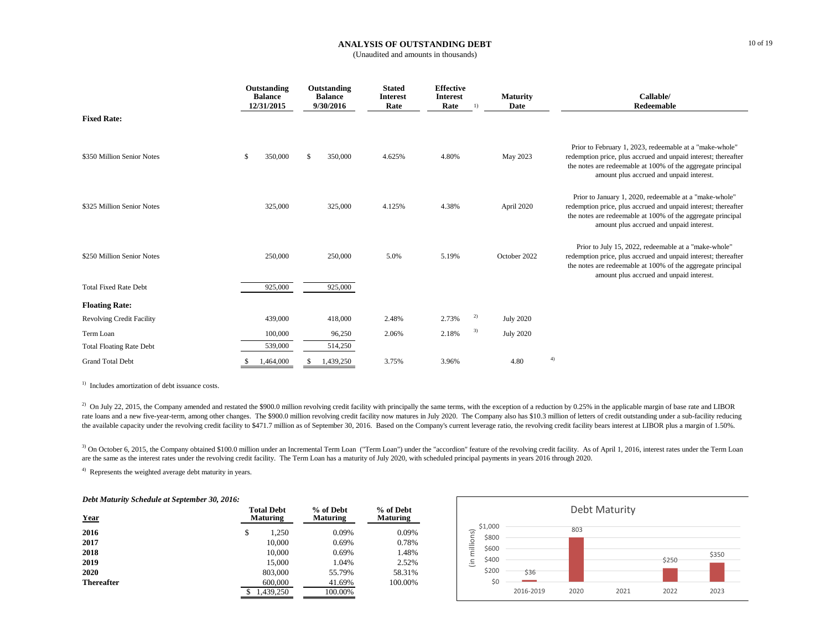#### **ANALYSIS OF OUTSTANDING DEBT**

(Unaudited and amounts in thousands)

|                                  | Outstanding<br><b>Balance</b><br>12/31/2015 | Outstanding<br><b>Balance</b><br>9/30/2016 | <b>Stated</b><br><b>Interest</b><br>Rate | <b>Effective</b><br><b>Interest</b><br>Rate | 1) | <b>Maturity</b><br>Date | Callable/<br>Redeemable                                                                                                                                                                                                              |
|----------------------------------|---------------------------------------------|--------------------------------------------|------------------------------------------|---------------------------------------------|----|-------------------------|--------------------------------------------------------------------------------------------------------------------------------------------------------------------------------------------------------------------------------------|
| <b>Fixed Rate:</b>               |                                             |                                            |                                          |                                             |    |                         |                                                                                                                                                                                                                                      |
| \$350 Million Senior Notes       | 350,000<br>S                                | \$<br>350,000                              | 4.625%                                   | 4.80%                                       |    | May 2023                | Prior to February 1, 2023, redeemable at a "make-whole"<br>redemption price, plus accrued and unpaid interest; thereafter<br>the notes are redeemable at 100% of the aggregate principal<br>amount plus accrued and unpaid interest. |
| \$325 Million Senior Notes       | 325,000                                     | 325,000                                    | 4.125%                                   | 4.38%                                       |    | April 2020              | Prior to January 1, 2020, redeemable at a "make-whole"<br>redemption price, plus accrued and unpaid interest; thereafter<br>the notes are redeemable at 100% of the aggregate principal<br>amount plus accrued and unpaid interest.  |
| \$250 Million Senior Notes       | 250,000                                     | 250,000                                    | 5.0%                                     | 5.19%                                       |    | October 2022            | Prior to July 15, 2022, redeemable at a "make-whole"<br>redemption price, plus accrued and unpaid interest; thereafter<br>the notes are redeemable at 100% of the aggregate principal<br>amount plus accrued and unpaid interest.    |
| <b>Total Fixed Rate Debt</b>     | 925,000                                     | 925,000                                    |                                          |                                             |    |                         |                                                                                                                                                                                                                                      |
| <b>Floating Rate:</b>            |                                             |                                            |                                          |                                             |    |                         |                                                                                                                                                                                                                                      |
| <b>Revolving Credit Facility</b> | 439,000                                     | 418,000                                    | 2.48%                                    | 2.73%                                       | 2) | <b>July 2020</b>        |                                                                                                                                                                                                                                      |
| Term Loan                        | 100,000                                     | 96,250                                     | 2.06%                                    | 2.18%                                       | 3) | <b>July 2020</b>        |                                                                                                                                                                                                                                      |
| <b>Total Floating Rate Debt</b>  | 539,000                                     | 514,250                                    |                                          |                                             |    |                         |                                                                                                                                                                                                                                      |
| <b>Grand Total Debt</b>          | 1,464,000                                   | 1,439,250                                  | 3.75%                                    | 3.96%                                       |    | 4.80                    | 4)                                                                                                                                                                                                                                   |

<sup>1)</sup> Includes amortization of debt issuance costs.

<sup>2)</sup> On July 22, 2015, the Company amended and restated the \$900.0 million revolving credit facility with principally the same terms, with the exception of a reduction by 0.25% in the applicable margin of base rate and LI rate loans and a new five-year-term, among other changes. The \$900.0 million revolving credit facility now matures in July 2020. The Company also has \$10.3 million of letters of credit outstanding under a sub-facility redu the available capacity under the revolving credit facility to \$471.7 million as of September 30, 2016. Based on the Company's current leverage ratio, the revolving credit facility bears interest at LIBOR plus a margin of 1

<sup>3)</sup> On October 6, 2015, the Company obtained \$100.0 million under an Incremental Term Loan ("Term Loan") under the "accordion" feature of the revolving credit facility. As of April 1, 2016, interest rates under the Term L are the same as the interest rates under the revolving credit facility. The Term Loan has a maturity of July 2020, with scheduled principal payments in years 2016 through 2020.

4) Represents the weighted average debt maturity in years.

#### *Debt Maturity Schedule at September 30, 2016:*

| <b>Year</b>       | <b>Total Debt</b><br><b>Maturing</b> | % of Debt<br><b>Maturing</b> | % of Debt<br><b>Maturing</b> |  |
|-------------------|--------------------------------------|------------------------------|------------------------------|--|
| 2016              | \$<br>1.250                          | 0.09%                        | 0.09%                        |  |
| 2017              | 10.000                               | 0.69%                        | 0.78%                        |  |
| 2018              | 10,000                               | 0.69%                        | 1.48%                        |  |
| 2019              | 15,000                               | 1.04%                        | 2.52%                        |  |
| 2020              | 803,000                              | 55.79%                       | 58.31%                       |  |
| <b>Thereafter</b> | 600,000                              | 41.69%                       | 100.00%                      |  |
|                   | 1.439.250<br>S                       | 100.00%                      |                              |  |

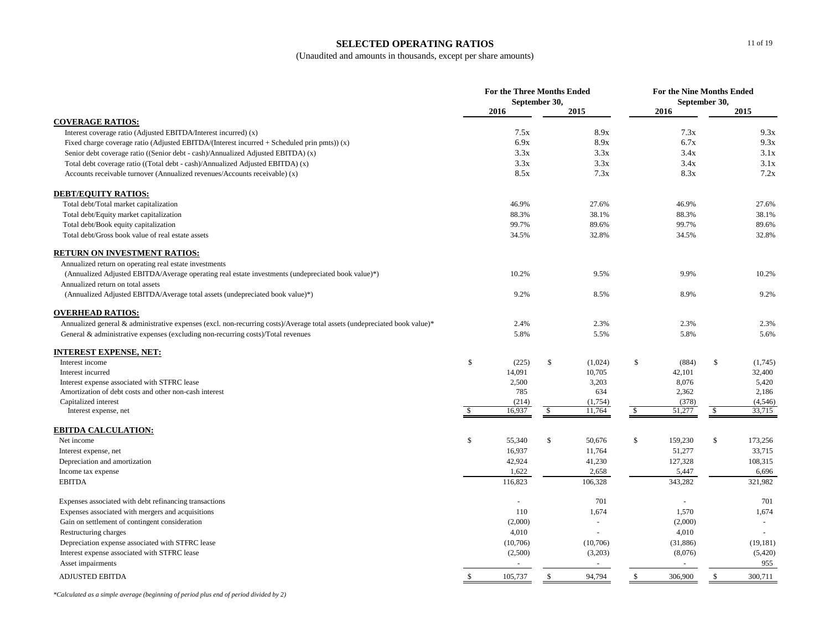# **SELECTED OPERATING RATIOS**

(Unaudited and amounts in thousands, except per share amounts)

|                                                                                                                           | <b>For the Three Months Ended</b><br>September 30, |          |              |                | For the Nine Months Ended<br>September 30, |           |               |           |
|---------------------------------------------------------------------------------------------------------------------------|----------------------------------------------------|----------|--------------|----------------|--------------------------------------------|-----------|---------------|-----------|
|                                                                                                                           |                                                    | 2016     |              | 2015           |                                            | 2016      |               | 2015      |
| <b>COVERAGE RATIOS:</b>                                                                                                   |                                                    |          |              |                |                                            |           |               |           |
| Interest coverage ratio (Adjusted EBITDA/Interest incurred) (x)                                                           |                                                    | 7.5x     |              | 8.9x           |                                            | 7.3x      |               | 9.3x      |
| Fixed charge coverage ratio (Adjusted EBITDA/(Interest incurred $+$ Scheduled prin pmts)) (x)                             |                                                    | 6.9x     |              | 8.9x           |                                            | 6.7x      |               | 9.3x      |
| Senior debt coverage ratio ((Senior debt - cash)/Annualized Adjusted EBITDA) (x)                                          |                                                    | 3.3x     |              | 3.3x           |                                            | 3.4x      |               | 3.1x      |
| Total debt coverage ratio ((Total debt - cash)/Annualized Adjusted EBITDA) (x)                                            |                                                    | 3.3x     |              | 3.3x           |                                            | 3.4x      |               | 3.1x      |
| Accounts receivable turnover (Annualized revenues/Accounts receivable) (x)                                                |                                                    | 8.5x     |              | 7.3x           |                                            | 8.3x      |               | 7.2x      |
| <b>DEBT/EQUITY RATIOS:</b>                                                                                                |                                                    |          |              |                |                                            |           |               |           |
| Total debt/Total market capitalization                                                                                    |                                                    | 46.9%    |              | 27.6%          |                                            | 46.9%     |               | 27.6%     |
| Total debt/Equity market capitalization                                                                                   |                                                    | 88.3%    |              | 38.1%          |                                            | 88.3%     |               | 38.1%     |
| Total debt/Book equity capitalization                                                                                     |                                                    | 99.7%    |              | 89.6%          |                                            | 99.7%     |               | 89.6%     |
| Total debt/Gross book value of real estate assets                                                                         |                                                    | 34.5%    |              | 32.8%          |                                            | 34.5%     |               | 32.8%     |
| RETURN ON INVESTMENT RATIOS:                                                                                              |                                                    |          |              |                |                                            |           |               |           |
| Annualized return on operating real estate investments                                                                    |                                                    |          |              |                |                                            |           |               |           |
| (Annualized Adjusted EBITDA/Average operating real estate investments (undepreciated book value)*)                        |                                                    | 10.2%    |              | 9.5%           |                                            | 9.9%      |               | 10.2%     |
| Annualized return on total assets                                                                                         |                                                    |          |              |                |                                            |           |               |           |
| (Annualized Adjusted EBITDA/Average total assets (undepreciated book value)*)                                             |                                                    | 9.2%     |              | 8.5%           |                                            | 8.9%      |               | 9.2%      |
| <b>OVERHEAD RATIOS:</b>                                                                                                   |                                                    |          |              |                |                                            |           |               |           |
| Annualized general & administrative expenses (excl. non-recurring costs)/Average total assets (undepreciated book value)* |                                                    | 2.4%     |              | 2.3%           |                                            | 2.3%      |               | 2.3%      |
| General & administrative expenses (excluding non-recurring costs)/Total revenues                                          |                                                    | 5.8%     |              | 5.5%           |                                            | 5.8%      |               | 5.6%      |
| INTEREST EXPENSE, NET:                                                                                                    |                                                    |          |              |                |                                            |           |               |           |
| Interest income                                                                                                           | \$                                                 | (225)    | \$           | (1,024)        | \$                                         | (884)     | $\mathbb{S}$  | (1,745)   |
| Interest incurred                                                                                                         |                                                    | 14,091   |              | 10,705         |                                            | 42,101    |               | 32,400    |
| Interest expense associated with STFRC lease                                                                              |                                                    | 2,500    |              | 3,203          |                                            | 8,076     |               | 5,420     |
| Amortization of debt costs and other non-cash interest                                                                    |                                                    | 785      |              | 634            |                                            | 2,362     |               | 2,186     |
| Capitalized interest                                                                                                      |                                                    | (214)    |              | (1,754)        |                                            | (378)     |               | (4, 546)  |
| Interest expense, net                                                                                                     | S                                                  | 16,937   | \$           | 11,764         | \$                                         | 51,277    | \$            | 33,715    |
| <b>EBITDA CALCULATION:</b>                                                                                                |                                                    |          |              |                |                                            |           |               |           |
| Net income                                                                                                                | \$                                                 | 55,340   | $\mathbb{S}$ | 50,676         | $\mathbb{S}$                               | 159,230   | <sup>\$</sup> | 173,256   |
| Interest expense, net                                                                                                     |                                                    | 16,937   |              | 11,764         |                                            | 51,277    |               | 33,715    |
| Depreciation and amortization                                                                                             |                                                    | 42,924   |              | 41,230         |                                            | 127,328   |               | 108,315   |
| Income tax expense                                                                                                        |                                                    | 1,622    |              | 2,658          |                                            | 5,447     |               | 6,696     |
| <b>EBITDA</b>                                                                                                             |                                                    | 116,823  |              | 106,328        |                                            | 343,282   |               | 321,982   |
| Expenses associated with debt refinancing transactions                                                                    |                                                    | $\sim$   |              | 701            |                                            | ÷,        |               | 701       |
| Expenses associated with mergers and acquisitions                                                                         |                                                    | 110      |              | 1,674          |                                            | 1,570     |               | 1,674     |
| Gain on settlement of contingent consideration                                                                            |                                                    | (2,000)  |              | $\sim$         |                                            | (2,000)   |               | $\sim$    |
| Restructuring charges                                                                                                     |                                                    | 4,010    |              |                |                                            | 4,010     |               | $\sim$    |
| Depreciation expense associated with STFRC lease                                                                          |                                                    | (10,706) |              | (10,706)       |                                            | (31, 886) |               | (19, 181) |
| Interest expense associated with STFRC lease                                                                              |                                                    | (2,500)  |              | (3,203)        |                                            | (8,076)   |               | (5,420)   |
| Asset impairments                                                                                                         |                                                    | $\sim$   |              | $\blacksquare$ |                                            | $\bar{a}$ |               | 955       |
| <b>ADJUSTED EBITDA</b>                                                                                                    | <sup>\$</sup>                                      | 105,737  | $\mathbb{S}$ | 94,794         | $\mathbb{S}$                               | 306,900   | $\mathbb{S}$  | 300,711   |

*\*Calculated as a simple average (beginning of period plus end of period divided by 2)*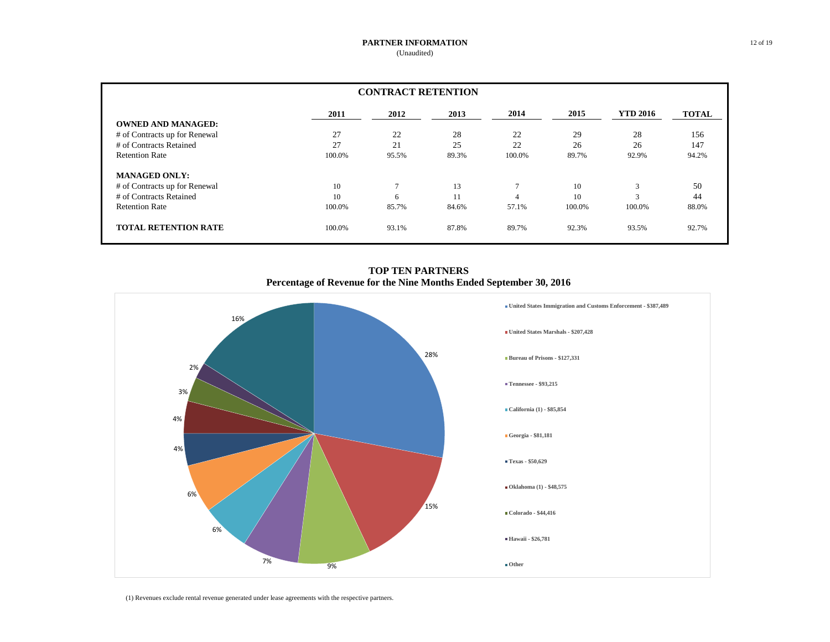| <b>CONTRACT RETENTION</b>     |        |       |       |              |        |                 |              |  |
|-------------------------------|--------|-------|-------|--------------|--------|-----------------|--------------|--|
|                               | 2011   | 2012  | 2013  | 2014         | 2015   | <b>YTD 2016</b> | <b>TOTAL</b> |  |
| <b>OWNED AND MANAGED:</b>     |        |       |       |              |        |                 |              |  |
| # of Contracts up for Renewal | 27     | 22    | 28    | 22           | 29     | 28              | 156          |  |
| # of Contracts Retained       | 27     | 21    | 25    | 22           | 26     | 26              | 147          |  |
| <b>Retention Rate</b>         | 100.0% | 95.5% | 89.3% | 100.0%       | 89.7%  | 92.9%           | 94.2%        |  |
| <b>MANAGED ONLY:</b>          |        |       |       |              |        |                 |              |  |
| # of Contracts up for Renewal | 10     | π     | 13    | $\mathbf{r}$ | 10     | 3               | 50           |  |
| # of Contracts Retained       | 10     | 6     | 11    | 4            | 10     | $\mathbf{a}$    | 44           |  |
| <b>Retention Rate</b>         | 100.0% | 85.7% | 84.6% | 57.1%        | 100.0% | 100.0%          | 88.0%        |  |
| <b>TOTAL RETENTION RATE</b>   | 100.0% | 93.1% | 87.8% | 89.7%        | 92.3%  | 93.5%           | 92.7%        |  |

**TOP TEN PARTNERS Percentage of Revenue for the Nine Months Ended September 30, 2016**



(1) Revenues exclude rental revenue generated under lease agreements with the respective partners.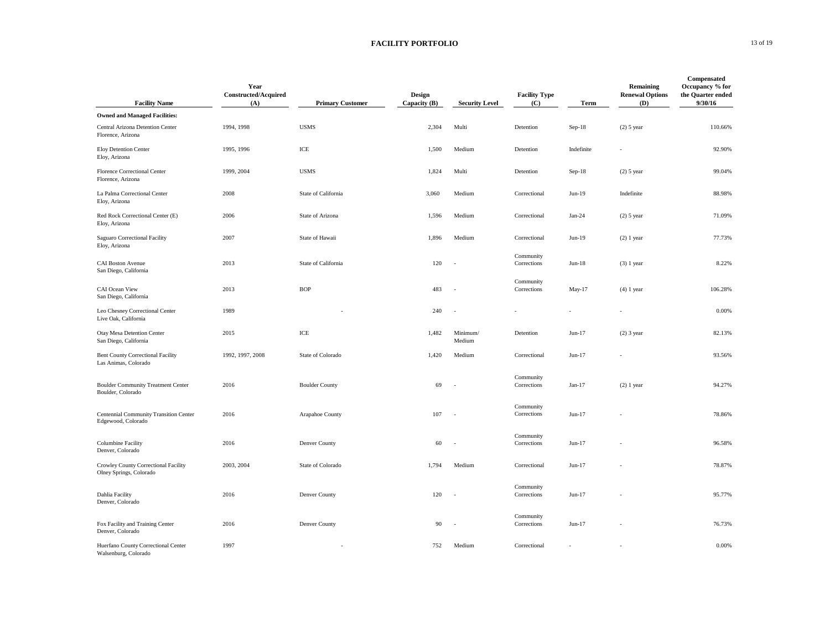### **FACILITY PORTFOLIO** 13 of 19

| <b>Facility Name</b>                                                | Year<br>Constructed/Acquired<br>(A) | <b>Primary Customer</b> | Design<br>Capacity (B) | <b>Security Level</b> | <b>Facility Type</b><br>(C) | Term       | Remaining<br><b>Renewal Options</b><br>(D) | Compensated<br>Occupancy % for<br>the Quarter ended<br>9/30/16 |
|---------------------------------------------------------------------|-------------------------------------|-------------------------|------------------------|-----------------------|-----------------------------|------------|--------------------------------------------|----------------------------------------------------------------|
| <b>Owned and Managed Facilities:</b>                                |                                     |                         |                        |                       |                             |            |                                            |                                                                |
| Central Arizona Detention Center<br>Florence, Arizona               | 1994, 1998                          | <b>USMS</b>             | 2,304                  | Multi                 | Detention                   | $Sep-18$   | $(2)$ 5 year                               | 110.66%                                                        |
| Eloy Detention Center<br>Eloy, Arizona                              | 1995, 1996                          | $\rm ICE$               | 1,500                  | Medium                | Detention                   | Indefinite |                                            | 92.90%                                                         |
| Florence Correctional Center<br>Florence, Arizona                   | 1999, 2004                          | <b>USMS</b>             | 1,824                  | Multi                 | Detention                   | $Sep-18$   | $(2)$ 5 year                               | 99.04%                                                         |
| La Palma Correctional Center<br>Eloy, Arizona                       | 2008                                | State of California     | 3,060                  | Medium                | Correctional                | $Jun-19$   | Indefinite                                 | 88.98%                                                         |
| Red Rock Correctional Center (E)<br>Eloy, Arizona                   | 2006                                | State of Arizona        | 1,596                  | Medium                | Correctional                | $Jan-24$   | $(2)$ 5 year                               | 71.09%                                                         |
| Saguaro Correctional Facility<br>Eloy, Arizona                      | 2007                                | State of Hawaii         | 1,896                  | Medium                | Correctional                | Jun-19     | $(2)$ 1 year                               | 77.73%                                                         |
| <b>CAI Boston Avenue</b><br>San Diego, California                   | 2013                                | State of California     | 120                    | ÷,                    | Community<br>Corrections    | $Jun-18$   | $(3)$ 1 year                               | 8.22%                                                          |
| CAI Ocean View<br>San Diego, California                             | 2013                                | <b>BOP</b>              | 483                    |                       | Community<br>Corrections    | May-17     | $(4)$ 1 year                               | 106.28%                                                        |
| Leo Chesney Correctional Center<br>Live Oak, California             | 1989                                |                         | 240                    |                       |                             |            |                                            | 0.00%                                                          |
| Otay Mesa Detention Center<br>San Diego, California                 | 2015                                | ICE                     | 1,482                  | Minimum/<br>Medium    | Detention                   | $Jun-17$   | $(2)$ 3 year                               | 82.13%                                                         |
| <b>Bent County Correctional Facility</b><br>Las Animas, Colorado    | 1992, 1997, 2008                    | State of Colorado       | 1,420                  | Medium                | Correctional                | $Jun-17$   |                                            | 93.56%                                                         |
| <b>Boulder Community Treatment Center</b><br>Boulder, Colorado      | 2016                                | <b>Boulder County</b>   | 69                     |                       | Community<br>Corrections    | $Jan-17$   | $(2)$ 1 year                               | 94.27%                                                         |
| <b>Centennial Community Transition Center</b><br>Edgewood, Colorado | 2016                                | Arapahoe County         | 107                    |                       | Community<br>Corrections    | $Jun-17$   |                                            | 78.86%                                                         |
| <b>Columbine Facility</b><br>Denver, Colorado                       | 2016                                | Denver County           | 60                     |                       | Community<br>Corrections    | $Jun-17$   |                                            | 96.58%                                                         |
| Crowley County Correctional Facility<br>Olney Springs, Colorado     | 2003, 2004                          | State of Colorado       | 1,794                  | Medium                | Correctional                | $Jun-17$   |                                            | 78.87%                                                         |
| Dahlia Facility<br>Denver, Colorado                                 | 2016                                | Denver County           | 120                    | ٠                     | Community<br>Corrections    | $Jun-17$   |                                            | 95.77%                                                         |
| Fox Facility and Training Center<br>Denver, Colorado                | 2016                                | Denver County           | 90                     | ٠                     | Community<br>Corrections    | Jun-17     |                                            | 76.73%                                                         |
| Huerfano County Correctional Center<br>Walsenburg, Colorado         | 1997                                |                         | 752                    | Medium                | Correctional                |            |                                            | 0.00%                                                          |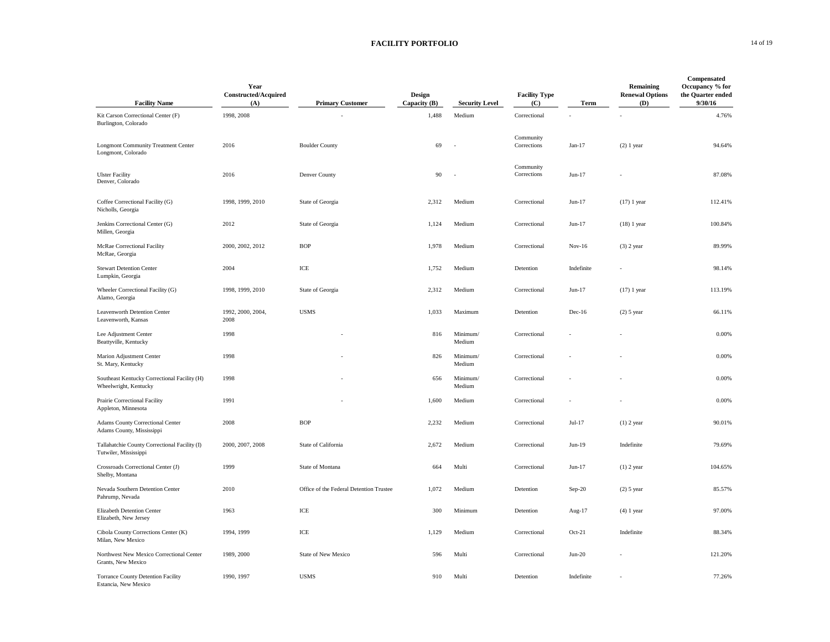### **FACILITY PORTFOLIO** 14 of 19

| <b>Facility Name</b>                                                   | Year<br>Constructed/Acquired<br>(A) | <b>Primary Customer</b>                 | Design<br>Capacity (B) | <b>Security Level</b> | <b>Facility Type</b><br>(C) | Term       | Remaining<br><b>Renewal Options</b><br>(D) | Compensated<br>Occupancy % for<br>the Quarter ended<br>9/30/16 |
|------------------------------------------------------------------------|-------------------------------------|-----------------------------------------|------------------------|-----------------------|-----------------------------|------------|--------------------------------------------|----------------------------------------------------------------|
| Kit Carson Correctional Center (F)<br>Burlington, Colorado             | 1998, 2008                          |                                         | 1,488                  | Medium                | Correctional                |            |                                            | 4.76%                                                          |
| <b>Longmont Community Treatment Center</b><br>Longmont, Colorado       | 2016                                | <b>Boulder County</b>                   | 69                     |                       | Community<br>Corrections    | Jan-17     | $(2)$ 1 year                               | 94.64%                                                         |
| <b>Ulster Facility</b><br>Denver, Colorado                             | 2016                                | Denver County                           | 90                     | ÷.                    | Community<br>Corrections    | Jun-17     |                                            | 87.08%                                                         |
| Coffee Correctional Facility (G)<br>Nicholls, Georgia                  | 1998, 1999, 2010                    | State of Georgia                        | 2,312                  | Medium                | Correctional                | Jun-17     | $(17)$ 1 year                              | 112.41%                                                        |
| Jenkins Correctional Center (G)<br>Millen, Georgia                     | 2012                                | State of Georgia                        | 1,124                  | Medium                | Correctional                | Jun-17     | $(18)$ 1 year                              | 100.84%                                                        |
| McRae Correctional Facility<br>McRae, Georgia                          | 2000, 2002, 2012                    | <b>BOP</b>                              | 1,978                  | Medium                | Correctional                | $Nov-16$   | $(3)$ 2 year                               | 89.99%                                                         |
| <b>Stewart Detention Center</b><br>Lumpkin, Georgia                    | 2004                                | ICE                                     | 1,752                  | Medium                | Detention                   | Indefinite |                                            | 98.14%                                                         |
| Wheeler Correctional Facility (G)<br>Alamo, Georgia                    | 1998, 1999, 2010                    | State of Georgia                        | 2,312                  | Medium                | Correctional                | Jun-17     | $(17)$ 1 year                              | 113.19%                                                        |
| Leavenworth Detention Center<br>Leavenworth, Kansas                    | 1992, 2000, 2004.<br>2008           | <b>USMS</b>                             | 1,033                  | Maximum               | Detention                   | Dec-16     | $(2)$ 5 year                               | 66.11%                                                         |
| Lee Adjustment Center<br>Beattyville, Kentucky                         | 1998                                |                                         | 816                    | Minimum/<br>Medium    | Correctional                |            |                                            | 0.00%                                                          |
| Marion Adjustment Center<br>St. Mary, Kentucky                         | 1998                                |                                         | 826                    | Minimum/<br>Medium    | Correctional                |            |                                            | 0.00%                                                          |
| Southeast Kentucky Correctional Facility (H)<br>Wheelwright, Kentucky  | 1998                                |                                         | 656                    | Minimum/<br>Medium    | Correctional                |            |                                            | 0.00%                                                          |
| Prairie Correctional Facility<br>Appleton, Minnesota                   | 1991                                |                                         | 1,600                  | Medium                | Correctional                |            |                                            | 0.00%                                                          |
| Adams County Correctional Center<br>Adams County, Mississippi          | 2008                                | <b>BOP</b>                              | 2,232                  | Medium                | Correctional                | Jul-17     | $(1)$ 2 year                               | 90.01%                                                         |
| Tallahatchie County Correctional Facility (I)<br>Tutwiler, Mississippi | 2000, 2007, 2008                    | State of California                     | 2,672                  | Medium                | Correctional                | $Jun-19$   | Indefinite                                 | 79.69%                                                         |
| Crossroads Correctional Center (J)<br>Shelby, Montana                  | 1999                                | State of Montana                        | 664                    | Multi                 | Correctional                | Jun-17     | $(1)$ 2 year                               | 104.65%                                                        |
| Nevada Southern Detention Center<br>Pahrump, Nevada                    | 2010                                | Office of the Federal Detention Trustee | 1,072                  | Medium                | Detention                   | $Sep-20$   | $(2)$ 5 year                               | 85.57%                                                         |
| Elizabeth Detention Center<br>Elizabeth, New Jersey                    | 1963                                | ICE                                     | 300                    | Minimum               | Detention                   | Aug-17     | $(4)$ 1 year                               | 97.00%                                                         |
| Cibola County Corrections Center (K)<br>Milan, New Mexico              | 1994, 1999                          | ICE                                     | 1,129                  | Medium                | Correctional                | $Oct-21$   | Indefinite                                 | 88.34%                                                         |
| Northwest New Mexico Correctional Center<br>Grants, New Mexico         | 1989, 2000                          | State of New Mexico                     | 596                    | Multi                 | Correctional                | $Jun-20$   |                                            | 121.20%                                                        |
| Torrance County Detention Facility<br>Estancia, New Mexico             | 1990, 1997                          | <b>USMS</b>                             | 910                    | Multi                 | Detention                   | Indefinite |                                            | 77.26%                                                         |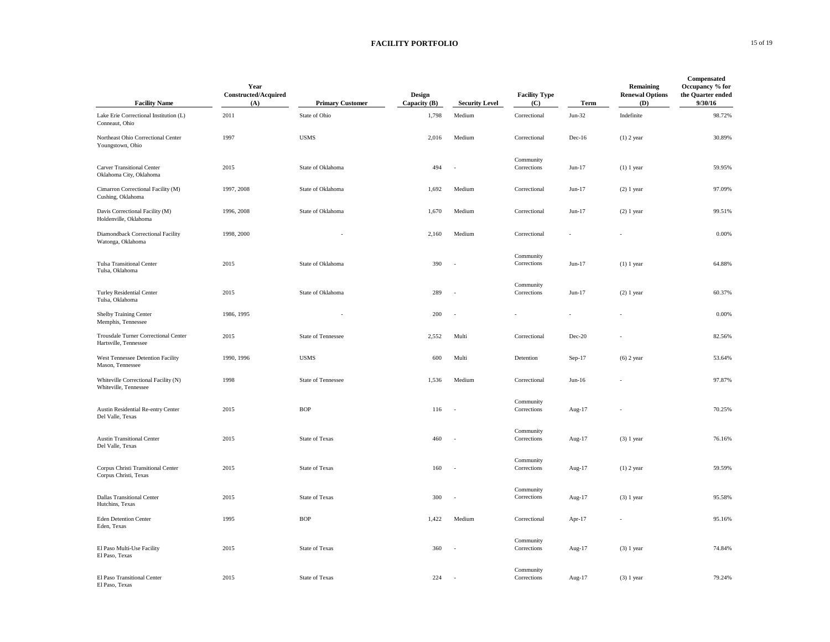### **FACILITY PORTFOLIO** 15 of 19

| <b>Facility Name</b>                                          | Year<br>Constructed/Acquired<br>(A) | <b>Primary Customer</b> | Design<br>Capacity $(B)$ | <b>Security Level</b> | <b>Facility Type</b><br>(C) | Term     | Remaining<br><b>Renewal Options</b><br>(D) | Compensated<br>Occupancy % for<br>the Quarter ended<br>9/30/16 |
|---------------------------------------------------------------|-------------------------------------|-------------------------|--------------------------|-----------------------|-----------------------------|----------|--------------------------------------------|----------------------------------------------------------------|
| Lake Erie Correctional Institution (L)<br>Conneaut, Ohio      | 2011                                | State of Ohio           | 1,798                    | Medium                | Correctional                | $Jun-32$ | Indefinite                                 | 98.72%                                                         |
| Northeast Ohio Correctional Center<br>Youngstown, Ohio        | 1997                                | <b>USMS</b>             | 2,016                    | Medium                | Correctional                | Dec-16   | $(1)$ 2 year                               | 30.89%                                                         |
| <b>Carver Transitional Center</b><br>Oklahoma City, Oklahoma  | 2015                                | State of Oklahoma       | 494                      |                       | Community<br>Corrections    | $Jun-17$ | $(1)$ 1 year                               | 59.95%                                                         |
| Cimarron Correctional Facility (M)<br>Cushing, Oklahoma       | 1997, 2008                          | State of Oklahoma       | 1,692                    | Medium                | Correctional                | Jun-17   | $(2)$ 1 year                               | 97.09%                                                         |
| Davis Correctional Facility (M)<br>Holdenville, Oklahoma      | 1996, 2008                          | State of Oklahoma       | 1,670                    | Medium                | Correctional                | Jun-17   | $(2)$ 1 year                               | 99.51%                                                         |
| Diamondback Correctional Facility<br>Watonga, Oklahoma        | 1998, 2000                          |                         | 2,160                    | Medium                | Correctional                |          |                                            | 0.00%                                                          |
| <b>Tulsa Transitional Center</b><br>Tulsa, Oklahoma           | 2015                                | State of Oklahoma       | 390                      | ٠                     | Community<br>Corrections    | $Jun-17$ | $(1)$ 1 year                               | 64.88%                                                         |
| <b>Turley Residential Center</b><br>Tulsa, Oklahoma           | 2015                                | State of Oklahoma       | 289                      |                       | Community<br>Corrections    | Jun-17   | $(2)$ 1 year                               | 60.37%                                                         |
| <b>Shelby Training Center</b><br>Memphis, Tennessee           | 1986, 1995                          |                         | 200                      |                       |                             |          |                                            | 0.00%                                                          |
| Trousdale Turner Correctional Center<br>Hartsville, Tennessee | 2015                                | State of Tennessee      | 2,552                    | Multi                 | Correctional                | Dec-20   |                                            | 82.56%                                                         |
| West Tennessee Detention Facility<br>Mason, Tennessee         | 1990, 1996                          | <b>USMS</b>             | 600                      | Multi                 | Detention                   | $Sep-17$ | $(6)$ 2 year                               | 53.64%                                                         |
| Whiteville Correctional Facility (N)<br>Whiteville, Tennessee | 1998                                | State of Tennessee      | 1,536                    | Medium                | Correctional                | $Jun-16$ |                                            | 97.87%                                                         |
| Austin Residential Re-entry Center<br>Del Valle, Texas        | 2015                                | <b>BOP</b>              | 116                      |                       | Community<br>Corrections    | Aug-17   |                                            | 70.25%                                                         |
| <b>Austin Transitional Center</b><br>Del Valle, Texas         | 2015                                | <b>State of Texas</b>   | 460                      |                       | Community<br>Corrections    | Aug-17   | $(3)$ 1 year                               | 76.16%                                                         |
| Corpus Christi Transitional Center<br>Corpus Christi, Texas   | 2015                                | <b>State of Texas</b>   | 160                      | ÷.                    | Community<br>Corrections    | Aug-17   | $(1)$ 2 year                               | 59.59%                                                         |
| <b>Dallas Transitional Center</b><br>Hutchins, Texas          | 2015                                | State of Texas          | 300                      |                       | Community<br>Corrections    | Aug-17   | $(3)$ 1 year                               | 95.58%                                                         |
| <b>Eden Detention Center</b><br>Eden, Texas                   | 1995                                | <b>BOP</b>              | 1,422                    | Medium                | Correctional                | Apr-17   |                                            | 95.16%                                                         |
| El Paso Multi-Use Facility<br>El Paso, Texas                  | 2015                                | State of Texas          | 360                      |                       | Community<br>Corrections    | Aug-17   | $(3)$ 1 year                               | 74.84%                                                         |
| El Paso Transitional Center<br>El Paso, Texas                 | 2015                                | <b>State of Texas</b>   | 224                      |                       | Community<br>Corrections    | Aug-17   | $(3)$ 1 year                               | 79.24%                                                         |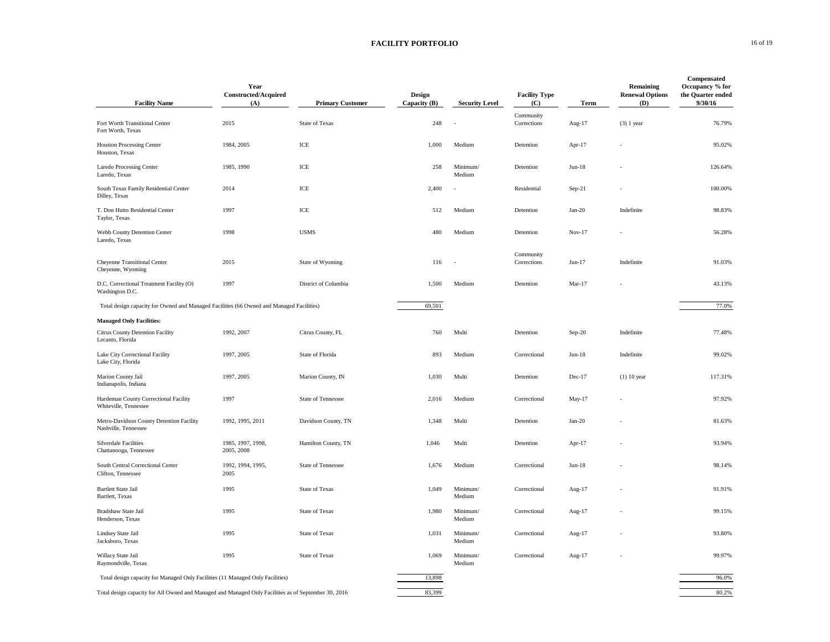### **FACILITY PORTFOLIO** 16 of 19

| <b>Facility Name</b>                                                                                 | Year<br>Constructed/Acquired<br>(A) | <b>Primary Customer</b> | Design<br>Capacity (B) | <b>Security Level</b> | <b>Facility Type</b><br>(C) | Term     | Remaining<br><b>Renewal Options</b><br>(D) | Compensated<br>Occupancy % for<br>the Quarter ended<br>9/30/16 |
|------------------------------------------------------------------------------------------------------|-------------------------------------|-------------------------|------------------------|-----------------------|-----------------------------|----------|--------------------------------------------|----------------------------------------------------------------|
| Fort Worth Transitional Center<br>Fort Worth, Texas                                                  | 2015                                | State of Texas          | 248                    |                       | Community<br>Corrections    | Aug-17   | $(3)$ 1 year                               | 76.79%                                                         |
| <b>Houston Processing Center</b><br>Houston, Texas                                                   | 1984, 2005                          | ICE                     | 1.000                  | Medium                | Detention                   | Apr-17   |                                            | 95.02%                                                         |
| Laredo Processing Center<br>Laredo, Texas                                                            | 1985, 1990                          | ICE                     | 258                    | Minimum/<br>Medium    | Detention                   | $Jun-18$ |                                            | 126.64%                                                        |
| South Texas Family Residential Center<br>Dilley, Texas                                               | 2014                                | ICE                     | 2,400                  |                       | Residential                 | $Sep-21$ |                                            | 100.00%                                                        |
| T. Don Hutto Residential Center<br>Taylor, Texas                                                     | 1997                                | $\rm ICE$               | 512                    | Medium                | Detention                   | $Jan-20$ | Indefinite                                 | 98.83%                                                         |
| Webb County Detention Center<br>Laredo, Texas                                                        | 1998                                | <b>USMS</b>             | 480                    | Medium                | Detention                   | Nov-17   |                                            | 56.28%                                                         |
| Cheyenne Transitional Center<br>Cheyenne, Wyoming                                                    | 2015                                | State of Wyoming        | 116                    |                       | Community<br>Corrections    | $Jun-17$ | Indefinite                                 | 91.03%                                                         |
| D.C. Correctional Treatment Facility (O)<br>Washington D.C.                                          | 1997                                | District of Columbia    | 1,500                  | Medium                | Detention                   | $Mar-17$ |                                            | 43.13%                                                         |
| Total design capacity for Owned and Managed Facilities (66 Owned and Managed Facilities)             |                                     |                         | 69,501                 |                       |                             |          |                                            | 77.0%                                                          |
| <b>Managed Only Facilities:</b>                                                                      |                                     |                         |                        |                       |                             |          |                                            |                                                                |
| Citrus County Detention Facility<br>Lecanto, Florida                                                 | 1992, 2007                          | Citrus County, FL       | 760                    | Multi                 | Detention                   | $Sep-20$ | Indefinite                                 | 77.48%                                                         |
| Lake City Correctional Facility<br>Lake City, Florida                                                | 1997, 2005                          | State of Florida        | 893                    | Medium                | Correctional                | $Jun-18$ | Indefinite                                 | 99.02%                                                         |
| Marion County Jail<br>Indianapolis, Indiana                                                          | 1997, 2005                          | Marion County, IN       | 1,030                  | Multi                 | Detention                   | Dec-17   | $(1)$ 10 year                              | 117.31%                                                        |
| Hardeman County Correctional Facility<br>Whiteville, Tennessee                                       | 1997                                | State of Tennessee      | 2,016                  | Medium                | Correctional                | May-17   |                                            | 97.92%                                                         |
| Metro-Davidson County Detention Facility<br>Nashville, Tennessee                                     | 1992, 1995, 2011                    | Davidson County, TN     | 1,348                  | Multi                 | Detention                   | $Jan-20$ |                                            | 81.63%                                                         |
| Silverdale Facilities<br>Chattanooga, Tennessee                                                      | 1985, 1997, 1998,<br>2005, 2008     | Hamilton County, TN     | 1,046                  | Multi                 | Detention                   | Apr-17   |                                            | 93.94%                                                         |
| South Central Correctional Center<br>Clifton, Tennessee                                              | 1992, 1994, 1995,<br>2005           | State of Tennessee      | 1,676                  | Medium                | Correctional                | $Jun-18$ |                                            | 98.14%                                                         |
| <b>Bartlett State Jail</b><br>Bartlett, Texas                                                        | 1995                                | <b>State of Texas</b>   | 1,049                  | Minimum/<br>Medium    | Correctional                | Aug-17   |                                            | 91.91%                                                         |
| Bradshaw State Jail<br>Henderson, Texas                                                              | 1995                                | <b>State of Texas</b>   | 1,980                  | Minimum/<br>Medium    | Correctional                | Aug-17   |                                            | 99.15%                                                         |
| Lindsey State Jail<br>Jacksboro, Texas                                                               | 1995                                | State of Texas          | 1,031                  | Minimum/<br>Medium    | Correctional                | Aug-17   |                                            | 93.80%                                                         |
| Willacy State Jail<br>Raymondville, Texas                                                            | 1995                                | <b>State of Texas</b>   | 1,069                  | Minimum/<br>Medium    | Correctional                | Aug-17   |                                            | 99.97%                                                         |
| Total design capacity for Managed Only Facilities (11 Managed Only Facilities)                       |                                     |                         | 13,898                 |                       |                             |          |                                            | 96.0%                                                          |
| Total design capacity for All Owned and Managed and Managed Only Facilities as of September 30, 2016 |                                     |                         | 83.399                 |                       |                             |          |                                            | 80.2%                                                          |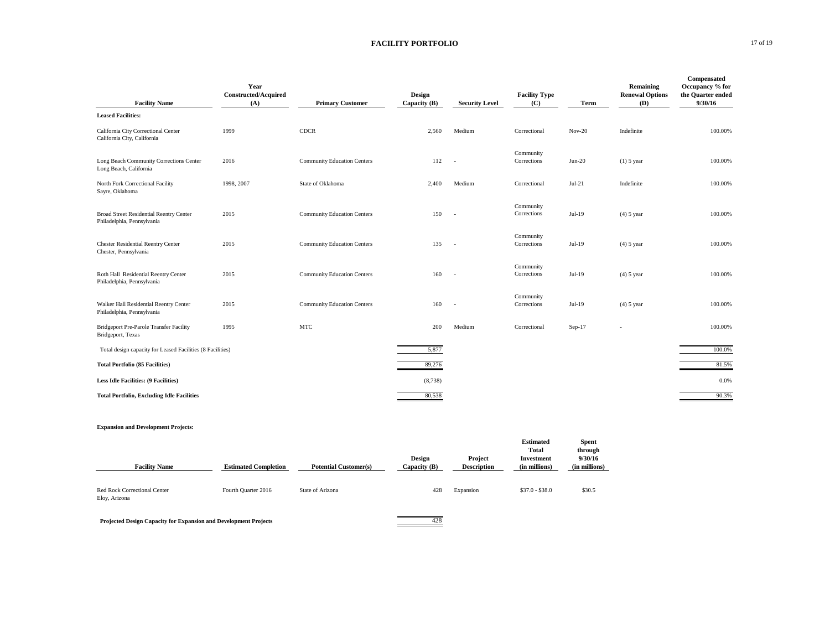### **FACILITY PORTFOLIO** 17 of 19

| <b>Facility Name</b>                                                         | Year<br><b>Constructed/Acquired</b><br>(A) | <b>Primary Customer</b>            | Design<br>Capacity (B) | <b>Security Level</b> | <b>Facility Type</b><br>(C) | Term     | Remaining<br><b>Renewal Options</b><br>(D) | Compensated<br>Occupancy % for<br>the Quarter ended<br>9/30/16 |
|------------------------------------------------------------------------------|--------------------------------------------|------------------------------------|------------------------|-----------------------|-----------------------------|----------|--------------------------------------------|----------------------------------------------------------------|
| <b>Leased Facilities:</b>                                                    |                                            |                                    |                        |                       |                             |          |                                            |                                                                |
| California City Correctional Center<br>California City, California           | 1999                                       | <b>CDCR</b>                        | 2,560                  | Medium                | Correctional                | $Nov-20$ | Indefinite                                 | 100.00%                                                        |
| Long Beach Community Corrections Center<br>Long Beach, California            | 2016                                       | <b>Community Education Centers</b> | 112                    | ÷.                    | Community<br>Corrections    | $Jun-20$ | $(1)$ 5 year                               | 100.00%                                                        |
| North Fork Correctional Facility<br>Sayre, Oklahoma                          | 1998, 2007                                 | State of Oklahoma                  | 2,400                  | Medium                | Correctional                | $Jul-21$ | Indefinite                                 | 100.00%                                                        |
| <b>Broad Street Residential Reentry Center</b><br>Philadelphia, Pennsylvania | 2015                                       | <b>Community Education Centers</b> | 150                    | ÷.                    | Community<br>Corrections    | $Jul-19$ | $(4)$ 5 year                               | 100.00%                                                        |
| <b>Chester Residential Reentry Center</b><br>Chester, Pennsylvania           | 2015                                       | <b>Community Education Centers</b> | 135                    | ÷.                    | Community<br>Corrections    | Jul-19   | $(4)$ 5 year                               | 100.00%                                                        |
| Roth Hall Residential Reentry Center<br>Philadelphia, Pennsylvania           | 2015                                       | <b>Community Education Centers</b> | 160                    |                       | Community<br>Corrections    | $Jul-19$ | $(4)$ 5 year                               | 100.00%                                                        |
| Walker Hall Residential Reentry Center<br>Philadelphia, Pennsylvania         | 2015                                       | <b>Community Education Centers</b> | 160                    | ÷.                    | Community<br>Corrections    | Jul-19   | $(4)$ 5 year                               | 100.00%                                                        |
| Bridgeport Pre-Parole Transfer Facility<br>Bridgeport, Texas                 | 1995                                       | MTC                                | 200                    | Medium                | Correctional                | $Sep-17$ |                                            | 100.00%                                                        |
| Total design capacity for Leased Facilities (8 Facilities)                   |                                            |                                    | 5,877                  |                       |                             |          |                                            | 100.0%                                                         |
| <b>Total Portfolio (85 Facilities)</b>                                       |                                            |                                    | 89,276                 |                       |                             |          |                                            | 81.5%                                                          |
| <b>Less Idle Facilities: (9 Facilities)</b>                                  |                                            |                                    | (8,738)                |                       |                             |          |                                            | 0.0%                                                           |
| <b>Total Portfolio, Excluding Idle Facilities</b>                            |                                            |                                    | 80.538                 |                       |                             |          |                                            | 90.3%                                                          |

#### **Expansion and Development Projects:**

| <b>Facility Name</b>                          | <b>Estimated Completion</b> | <b>Potential Customer(s)</b> | Design<br>Capacity (B) | Project<br><b>Description</b> | <b>Estimated</b><br>Total<br>Investment<br>(in millions) | <b>Spent</b><br>through<br>9/30/16<br>(in millions) |
|-----------------------------------------------|-----------------------------|------------------------------|------------------------|-------------------------------|----------------------------------------------------------|-----------------------------------------------------|
| Red Rock Correctional Center<br>Eloy, Arizona | Fourth Quarter 2016         | State of Arizona             | 428                    | Expansion                     | $$37.0 - $38.0$                                          | \$30.5                                              |

# **Projected Design Capacity for Expansion and Development Projects** 428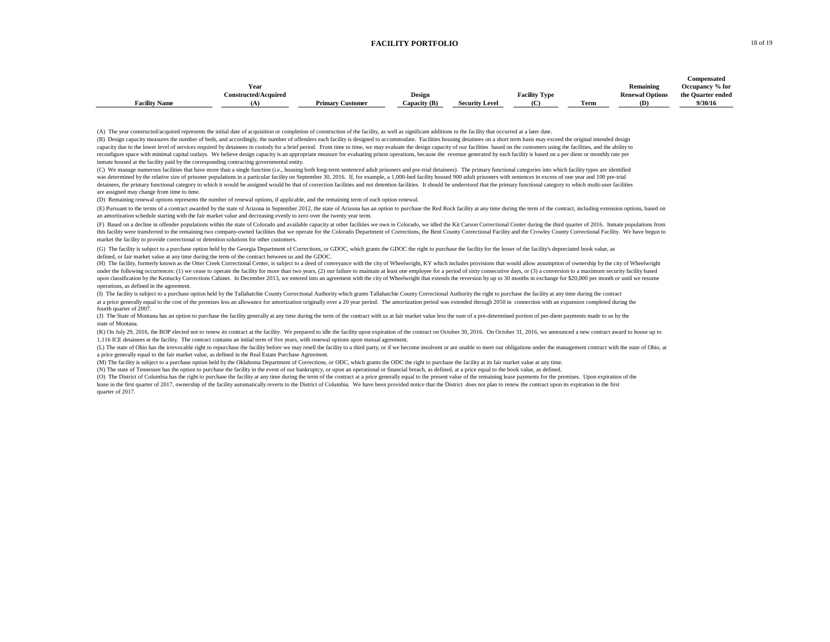#### **FACILITY PORTFOLIO** 18 of 19

|                      |                             |                         |              |                       |                      |              |                        | Compensated       |
|----------------------|-----------------------------|-------------------------|--------------|-----------------------|----------------------|--------------|------------------------|-------------------|
|                      | Year                        |                         |              |                       |                      |              | Remaining              | Occupancy % for   |
|                      | <b>Constructed/Acquired</b> |                         | Design       |                       | <b>Facility Type</b> |              | <b>Renewal Options</b> | the Quarter ended |
| <b>Facility Name</b> |                             | <b>Primary Customer</b> | Capacity (B) | <b>Security Level</b> | (C)                  | nes.<br>Ferm | (D)                    | 9/30/16           |

(A) The year constructed/acquired represents the initial date of acquisition or completion of construction of the facility, as well as significant additions to the facility that occurred at a later date.

inmate housed at the facility paid by the corresponding contracting governmental entity. (B) Design capacity measures the number of beds, and accordingly, the number of offenders each facility is designed to accommodate. Facilities housing detainees on a short term basis may exceed the original intended design capacity due to the lower level of services required by detainees in custody for a brief period. From time to time, we may evaluate the design capacity of our facilities based on the customers using the facilities, and the reconfigure space with minimal capital outlays. We believe design capacity is an appropriate measure for evaluating prison operations, because the revenue generated by each facility is based on a per diem or monthly rate p

(C) We manage numerous facilities that have more than a single function (i.e., housing both long-term sentenced adult prisoners and pre-trial detainees). The primary functional categories into which facility types are iden was determined by the relative size of prisoner populations in a particular facility on September 30, 2016. If, for example, a 1,000-bed facility housed 900 adult prisoners with sentences in excess of one year and 100 predetainees, the primary functional category to which it would be assigned would be that of correction facilities and not detention facilities. It should be understood that the primary functional category to which multi-user are assigned may change from time to time.

(D) Remaining renewal options represents the number of renewal options, if applicable, and the remaining term of each option renewal.

(E) Pursuant to the terms of a contract awarded by the state of Arizona in September 2012, the state of Arizona has an option to purchase the Red Rock facility at any time during the term of the contract, including extensi an amortization schedule starting with the fair market value and decreasing evenly to zero over the twenty year term.

(F) Based on a decline in offender populations within the state of Colorado and available capacity at other facilities we own in Colorado, we idled the Kit Carson Correctional Center during the third quarter of 2016. Inmat this facility were transferred to the remaining two company-owned facilities that we operate for the Colorado Department of Corrections, the Bent County Correctional Facility and the Crowley County Correctional Facility. W market the facility to provide correctional or detention solutions for other customers.

(G) The facility is subject to a purchase option held by the Georgia Department of Corrections, or GDOC, which grants the GDOC the right to purchase the facility for the lesser of the facility's depreciated book value, as defined, or fair market value at any time during the term of the contract between us and the GDOC.

(H) The facility, formerly known as the Otter Creek Correctional Center, is subject to a deed of conveyance with the city of Wheelwright, KY which includes provisions that would allow assumption of ownership by the city of under the following occurrences: (1) we cease to operate the facility for more than two years, (2) our failure to maintain at least one employee for a period of sixty consecutive days, or (3) a conversion to a maximum secu upon classification by the Kentucky Corrections Cabinet. In December 2013, we entered into an agreement with the city of Wheelwright that extends the reversion by up to 30 months in exchange for \$20,000 per month or until operations, as defined in the agreement.

(I) The facility is subject to a purchase option held by the Tallahatchie County Correctional Authority which grants Tallahatchie County Correctional Authority the right to purchase the facility at any time during the cont at a price generally equal to the cost of the premises less an allowance for amortization originally over a 20 year period. The amortization period was extended through 2050 in connection with an expansion completed during fourth quarter of 2007

state of Montana. (J) The State of Montana has an option to purchase the facility generally at any time during the term of the contract with us at fair market value less the sum of a pre-determined portion of per-dien payments made to us by

(K) On July 29, 2016, the BOP elected not to renew its contract at the facility. We prepared to idle the facility upon expiration of the contract on October 30, 2016. On October 31, 2016, we announced a new contract award 1,116 ICE detainees at the facility. The contract contains an initial term of five years, with renewal options upon mutual agreement.

(L) The state of Ohio has the irrevocable right to repurchase the facility before we may resell the facility to a third party, or if we become insolvent or are unable to meet our obligations under the management contract w a price generally equal to the fair market value, as defined in the Real Estate Purchase Agreement.

(M) The facility is subject to a purchase option held by the Oklahoma Department of Corrections, or ODC, which grants the ODC the right to purchase the facility at its fair market value at any time.

(N) The state of Tennessee has the option to purchase the facility in the event of our bankruptcy, or upon an operational or financial breach, as defined, at a price equal to the book value, as defined.

(O) The District of Columbia has the right to purchase the facility at any time during the term of the contract at a price generally equal to the present value of the remaining lease payments for the premises. Upon expirat lease in the first quarter of 2017, ownership of the facility automatically reverts to the District of Columbia. We have been provided notice that the District does not plan to renew the contract upon its expiration in the quarter of 2017.